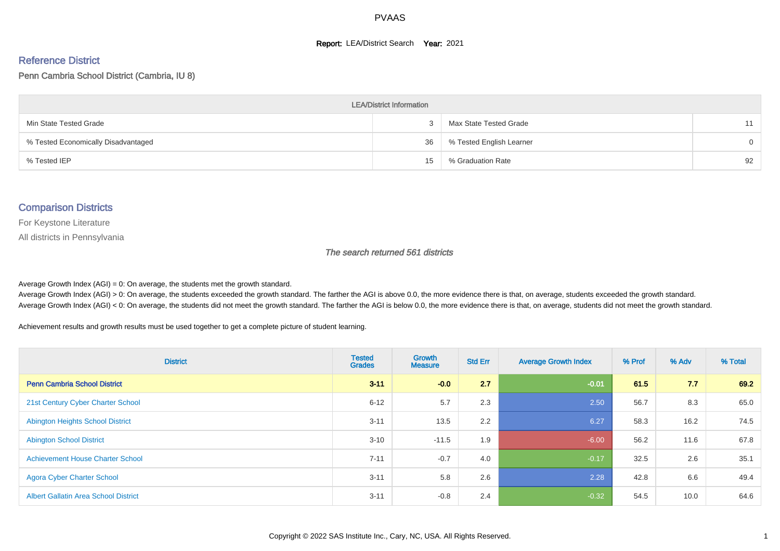#### **Report: LEA/District Search Year: 2021**

#### Reference District

Penn Cambria School District (Cambria, IU 8)

| <b>LEA/District Information</b>     |    |                          |          |  |  |  |  |  |  |  |
|-------------------------------------|----|--------------------------|----------|--|--|--|--|--|--|--|
| Min State Tested Grade              |    | Max State Tested Grade   | 11       |  |  |  |  |  |  |  |
| % Tested Economically Disadvantaged | 36 | % Tested English Learner | $\Omega$ |  |  |  |  |  |  |  |
| % Tested IEP                        | 15 | % Graduation Rate        | 92       |  |  |  |  |  |  |  |

#### Comparison Districts

For Keystone Literature

All districts in Pennsylvania

The search returned 561 districts

Average Growth Index  $(AGI) = 0$ : On average, the students met the growth standard.

Average Growth Index (AGI) > 0: On average, the students exceeded the growth standard. The farther the AGI is above 0.0, the more evidence there is that, on average, students exceeded the growth standard. Average Growth Index (AGI) < 0: On average, the students did not meet the growth standard. The farther the AGI is below 0.0, the more evidence there is that, on average, students did not meet the growth standard.

Achievement results and growth results must be used together to get a complete picture of student learning.

| <b>District</b>                             | <b>Tested</b><br><b>Grades</b> | <b>Growth</b><br><b>Measure</b> | <b>Std Err</b> | <b>Average Growth Index</b> | % Prof | % Adv | % Total |
|---------------------------------------------|--------------------------------|---------------------------------|----------------|-----------------------------|--------|-------|---------|
| <b>Penn Cambria School District</b>         | $3 - 11$                       | $-0.0$                          | 2.7            | $-0.01$                     | 61.5   | 7.7   | 69.2    |
| 21st Century Cyber Charter School           | $6 - 12$                       | 5.7                             | 2.3            | 2.50                        | 56.7   | 8.3   | 65.0    |
| <b>Abington Heights School District</b>     | $3 - 11$                       | 13.5                            | 2.2            | 6.27                        | 58.3   | 16.2  | 74.5    |
| <b>Abington School District</b>             | $3 - 10$                       | $-11.5$                         | 1.9            | $-6.00$                     | 56.2   | 11.6  | 67.8    |
| <b>Achievement House Charter School</b>     | $7 - 11$                       | $-0.7$                          | 4.0            | $-0.17$                     | 32.5   | 2.6   | 35.1    |
| <b>Agora Cyber Charter School</b>           | $3 - 11$                       | 5.8                             | 2.6            | 2.28                        | 42.8   | 6.6   | 49.4    |
| <b>Albert Gallatin Area School District</b> | $3 - 11$                       | $-0.8$                          | 2.4            | $-0.32$                     | 54.5   | 10.0  | 64.6    |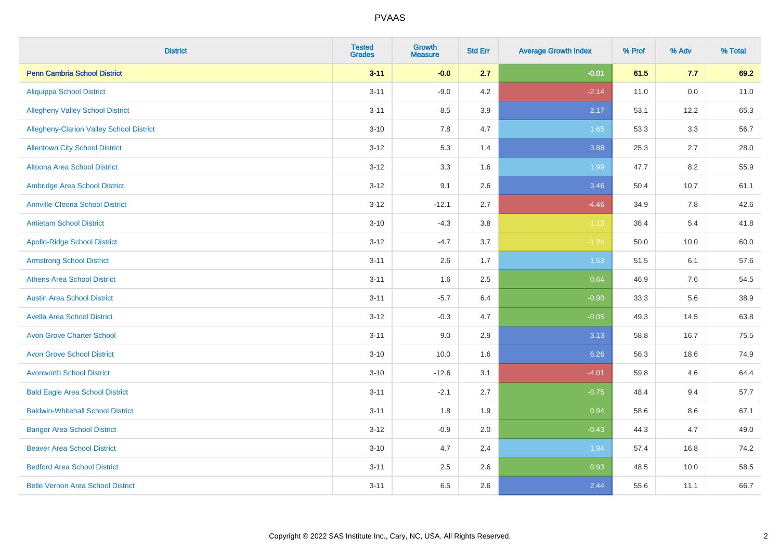| <b>District</b>                          | <b>Tested</b><br><b>Grades</b> | <b>Growth</b><br><b>Measure</b> | <b>Std Err</b> | <b>Average Growth Index</b> | % Prof | % Adv   | % Total |
|------------------------------------------|--------------------------------|---------------------------------|----------------|-----------------------------|--------|---------|---------|
| <b>Penn Cambria School District</b>      | $3 - 11$                       | $-0.0$                          | 2.7            | $-0.01$                     | 61.5   | 7.7     | 69.2    |
| <b>Aliquippa School District</b>         | $3 - 11$                       | $-9.0$                          | 4.2            | $-2.14$                     | 11.0   | $0.0\,$ | 11.0    |
| <b>Allegheny Valley School District</b>  | $3 - 11$                       | 8.5                             | 3.9            | 2.17                        | 53.1   | 12.2    | 65.3    |
| Allegheny-Clarion Valley School District | $3 - 10$                       | 7.8                             | 4.7            | 1.65                        | 53.3   | 3.3     | 56.7    |
| <b>Allentown City School District</b>    | $3 - 12$                       | 5.3                             | 1.4            | 3.88                        | 25.3   | 2.7     | 28.0    |
| <b>Altoona Area School District</b>      | $3 - 12$                       | 3.3                             | 1.6            | 1.99                        | 47.7   | 8.2     | 55.9    |
| Ambridge Area School District            | $3 - 12$                       | 9.1                             | 2.6            | 3.46                        | 50.4   | 10.7    | 61.1    |
| <b>Annville-Cleona School District</b>   | $3 - 12$                       | $-12.1$                         | 2.7            | $-4.46$                     | 34.9   | 7.8     | 42.6    |
| <b>Antietam School District</b>          | $3 - 10$                       | $-4.3$                          | 3.8            | $-1.13$                     | 36.4   | 5.4     | 41.8    |
| <b>Apollo-Ridge School District</b>      | $3 - 12$                       | $-4.7$                          | 3.7            | $-1.24$                     | 50.0   | 10.0    | 60.0    |
| <b>Armstrong School District</b>         | $3 - 11$                       | 2.6                             | 1.7            | 1.53                        | 51.5   | 6.1     | 57.6    |
| <b>Athens Area School District</b>       | $3 - 11$                       | 1.6                             | 2.5            | 0.64                        | 46.9   | 7.6     | 54.5    |
| <b>Austin Area School District</b>       | $3 - 11$                       | $-5.7$                          | 6.4            | $-0.90$                     | 33.3   | 5.6     | 38.9    |
| <b>Avella Area School District</b>       | $3 - 12$                       | $-0.3$                          | 4.7            | $-0.05$                     | 49.3   | 14.5    | 63.8    |
| <b>Avon Grove Charter School</b>         | $3 - 11$                       | 9.0                             | 2.9            | 3.13                        | 58.8   | 16.7    | 75.5    |
| <b>Avon Grove School District</b>        | $3 - 10$                       | 10.0                            | 1.6            | 6.26                        | 56.3   | 18.6    | 74.9    |
| <b>Avonworth School District</b>         | $3 - 10$                       | $-12.6$                         | 3.1            | $-4.01$                     | 59.8   | 4.6     | 64.4    |
| <b>Bald Eagle Area School District</b>   | $3 - 11$                       | $-2.1$                          | 2.7            | $-0.75$                     | 48.4   | 9.4     | 57.7    |
| <b>Baldwin-Whitehall School District</b> | $3 - 11$                       | 1.8                             | 1.9            | 0.94                        | 58.6   | 8.6     | 67.1    |
| <b>Bangor Area School District</b>       | $3 - 12$                       | $-0.9$                          | 2.0            | $-0.43$                     | 44.3   | 4.7     | 49.0    |
| <b>Beaver Area School District</b>       | $3 - 10$                       | 4.7                             | 2.4            | 1.94                        | 57.4   | 16.8    | 74.2    |
| <b>Bedford Area School District</b>      | $3 - 11$                       | 2.5                             | 2.6            | 0.93                        | 48.5   | 10.0    | 58.5    |
| <b>Belle Vernon Area School District</b> | $3 - 11$                       | 6.5                             | 2.6            | 2.44                        | 55.6   | 11.1    | 66.7    |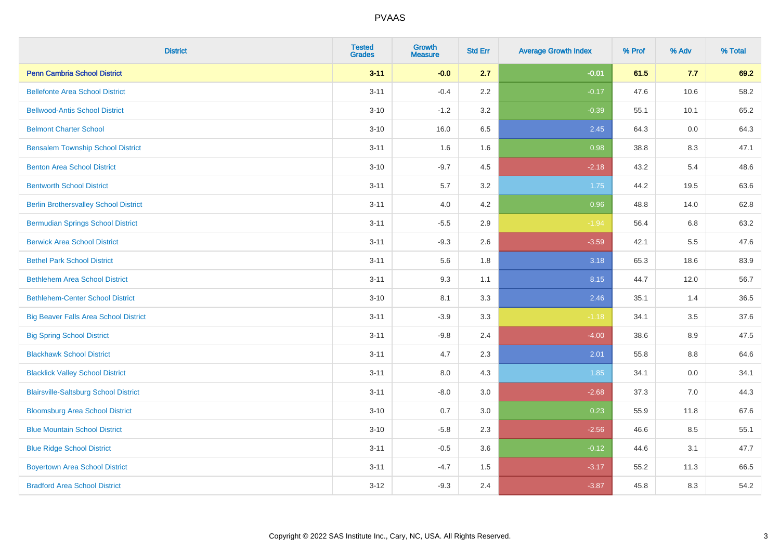| <b>District</b>                              | <b>Tested</b><br><b>Grades</b> | <b>Growth</b><br><b>Measure</b> | <b>Std Err</b> | <b>Average Growth Index</b> | % Prof | % Adv | % Total |
|----------------------------------------------|--------------------------------|---------------------------------|----------------|-----------------------------|--------|-------|---------|
| <b>Penn Cambria School District</b>          | $3 - 11$                       | $-0.0$                          | 2.7            | $-0.01$                     | 61.5   | 7.7   | 69.2    |
| <b>Bellefonte Area School District</b>       | $3 - 11$                       | $-0.4$                          | 2.2            | $-0.17$                     | 47.6   | 10.6  | 58.2    |
| <b>Bellwood-Antis School District</b>        | $3 - 10$                       | $-1.2$                          | 3.2            | $-0.39$                     | 55.1   | 10.1  | 65.2    |
| <b>Belmont Charter School</b>                | $3 - 10$                       | 16.0                            | 6.5            | 2.45                        | 64.3   | 0.0   | 64.3    |
| <b>Bensalem Township School District</b>     | $3 - 11$                       | 1.6                             | 1.6            | 0.98                        | 38.8   | 8.3   | 47.1    |
| <b>Benton Area School District</b>           | $3 - 10$                       | $-9.7$                          | 4.5            | $-2.18$                     | 43.2   | 5.4   | 48.6    |
| <b>Bentworth School District</b>             | $3 - 11$                       | 5.7                             | 3.2            | 1.75                        | 44.2   | 19.5  | 63.6    |
| <b>Berlin Brothersvalley School District</b> | $3 - 11$                       | 4.0                             | 4.2            | 0.96                        | 48.8   | 14.0  | 62.8    |
| <b>Bermudian Springs School District</b>     | $3 - 11$                       | $-5.5$                          | 2.9            | $-1.94$                     | 56.4   | 6.8   | 63.2    |
| <b>Berwick Area School District</b>          | $3 - 11$                       | $-9.3$                          | 2.6            | $-3.59$                     | 42.1   | 5.5   | 47.6    |
| <b>Bethel Park School District</b>           | $3 - 11$                       | 5.6                             | 1.8            | 3.18                        | 65.3   | 18.6  | 83.9    |
| <b>Bethlehem Area School District</b>        | $3 - 11$                       | 9.3                             | 1.1            | 8.15                        | 44.7   | 12.0  | 56.7    |
| <b>Bethlehem-Center School District</b>      | $3 - 10$                       | 8.1                             | 3.3            | 2.46                        | 35.1   | 1.4   | 36.5    |
| <b>Big Beaver Falls Area School District</b> | $3 - 11$                       | $-3.9$                          | 3.3            | $-1.18$                     | 34.1   | 3.5   | 37.6    |
| <b>Big Spring School District</b>            | $3 - 11$                       | $-9.8$                          | 2.4            | $-4.00$                     | 38.6   | 8.9   | 47.5    |
| <b>Blackhawk School District</b>             | $3 - 11$                       | 4.7                             | 2.3            | 2.01                        | 55.8   | 8.8   | 64.6    |
| <b>Blacklick Valley School District</b>      | $3 - 11$                       | 8.0                             | 4.3            | 1.85                        | 34.1   | 0.0   | 34.1    |
| <b>Blairsville-Saltsburg School District</b> | $3 - 11$                       | $-8.0$                          | 3.0            | $-2.68$                     | 37.3   | 7.0   | 44.3    |
| <b>Bloomsburg Area School District</b>       | $3 - 10$                       | 0.7                             | 3.0            | 0.23                        | 55.9   | 11.8  | 67.6    |
| <b>Blue Mountain School District</b>         | $3 - 10$                       | $-5.8$                          | 2.3            | $-2.56$                     | 46.6   | 8.5   | 55.1    |
| <b>Blue Ridge School District</b>            | $3 - 11$                       | $-0.5$                          | 3.6            | $-0.12$                     | 44.6   | 3.1   | 47.7    |
| <b>Boyertown Area School District</b>        | $3 - 11$                       | $-4.7$                          | 1.5            | $-3.17$                     | 55.2   | 11.3  | 66.5    |
| <b>Bradford Area School District</b>         | $3 - 12$                       | $-9.3$                          | 2.4            | $-3.87$                     | 45.8   | 8.3   | 54.2    |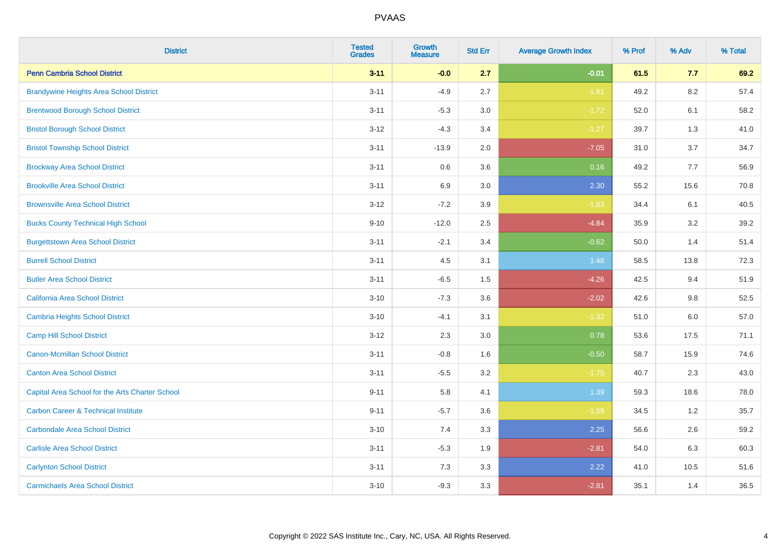| <b>District</b>                                 | <b>Tested</b><br><b>Grades</b> | Growth<br><b>Measure</b> | <b>Std Err</b> | <b>Average Growth Index</b> | % Prof | % Adv   | % Total |
|-------------------------------------------------|--------------------------------|--------------------------|----------------|-----------------------------|--------|---------|---------|
| <b>Penn Cambria School District</b>             | $3 - 11$                       | $-0.0$                   | 2.7            | $-0.01$                     | 61.5   | 7.7     | 69.2    |
| <b>Brandywine Heights Area School District</b>  | $3 - 11$                       | $-4.9$                   | 2.7            | $-1.81$                     | 49.2   | 8.2     | 57.4    |
| <b>Brentwood Borough School District</b>        | $3 - 11$                       | $-5.3$                   | 3.0            | $-1.72$                     | 52.0   | 6.1     | 58.2    |
| <b>Bristol Borough School District</b>          | $3 - 12$                       | $-4.3$                   | 3.4            | $-1.27$                     | 39.7   | 1.3     | 41.0    |
| <b>Bristol Township School District</b>         | $3 - 11$                       | $-13.9$                  | 2.0            | $-7.05$                     | 31.0   | 3.7     | 34.7    |
| <b>Brockway Area School District</b>            | $3 - 11$                       | 0.6                      | 3.6            | 0.16                        | 49.2   | 7.7     | 56.9    |
| <b>Brookville Area School District</b>          | $3 - 11$                       | 6.9                      | 3.0            | 2.30                        | 55.2   | 15.6    | 70.8    |
| <b>Brownsville Area School District</b>         | $3 - 12$                       | $-7.2$                   | 3.9            | $-1.83$                     | 34.4   | 6.1     | 40.5    |
| <b>Bucks County Technical High School</b>       | $9 - 10$                       | $-12.0$                  | 2.5            | $-4.84$                     | 35.9   | 3.2     | 39.2    |
| <b>Burgettstown Area School District</b>        | $3 - 11$                       | $-2.1$                   | 3.4            | $-0.62$                     | 50.0   | 1.4     | 51.4    |
| <b>Burrell School District</b>                  | $3 - 11$                       | 4.5                      | 3.1            | 1.48                        | 58.5   | 13.8    | 72.3    |
| <b>Butler Area School District</b>              | $3 - 11$                       | $-6.5$                   | 1.5            | $-4.26$                     | 42.5   | 9.4     | 51.9    |
| California Area School District                 | $3 - 10$                       | $-7.3$                   | 3.6            | $-2.02$                     | 42.6   | 9.8     | 52.5    |
| Cambria Heights School District                 | $3 - 10$                       | $-4.1$                   | 3.1            | $-1.32$                     | 51.0   | $6.0\,$ | 57.0    |
| <b>Camp Hill School District</b>                | $3 - 12$                       | 2.3                      | 3.0            | 0.78                        | 53.6   | 17.5    | 71.1    |
| Canon-Mcmillan School District                  | $3 - 11$                       | $-0.8$                   | 1.6            | $-0.50$                     | 58.7   | 15.9    | 74.6    |
| <b>Canton Area School District</b>              | $3 - 11$                       | $-5.5$                   | 3.2            | $-1.75$                     | 40.7   | 2.3     | 43.0    |
| Capital Area School for the Arts Charter School | $9 - 11$                       | 5.8                      | 4.1            | 1.39                        | 59.3   | 18.6    | 78.0    |
| <b>Carbon Career &amp; Technical Institute</b>  | $9 - 11$                       | $-5.7$                   | 3.6            | $-1.59$                     | 34.5   | 1.2     | 35.7    |
| <b>Carbondale Area School District</b>          | $3 - 10$                       | 7.4                      | 3.3            | 2.25                        | 56.6   | 2.6     | 59.2    |
| <b>Carlisle Area School District</b>            | $3 - 11$                       | $-5.3$                   | 1.9            | $-2.81$                     | 54.0   | 6.3     | 60.3    |
| <b>Carlynton School District</b>                | $3 - 11$                       | 7.3                      | 3.3            | 2.22                        | 41.0   | 10.5    | 51.6    |
| <b>Carmichaels Area School District</b>         | $3 - 10$                       | $-9.3$                   | 3.3            | $-2.81$                     | 35.1   | 1.4     | 36.5    |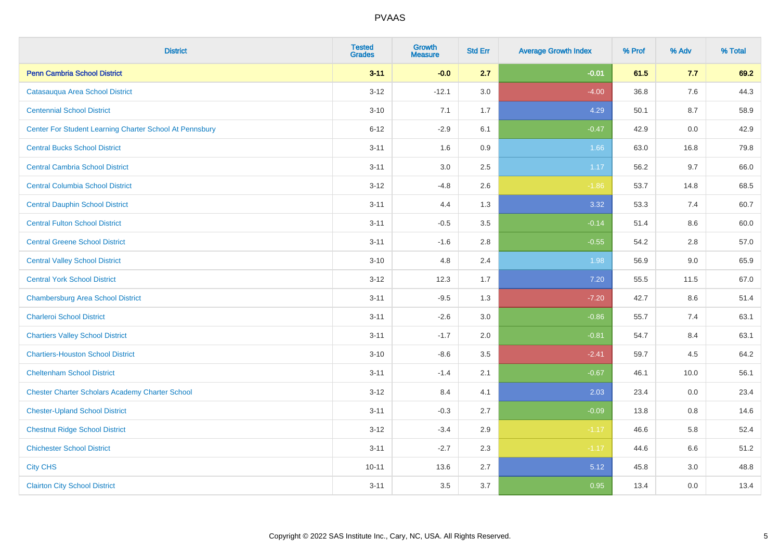| <b>District</b>                                         | <b>Tested</b><br><b>Grades</b> | <b>Growth</b><br><b>Measure</b> | <b>Std Err</b> | <b>Average Growth Index</b> | % Prof | % Adv | % Total |
|---------------------------------------------------------|--------------------------------|---------------------------------|----------------|-----------------------------|--------|-------|---------|
| <b>Penn Cambria School District</b>                     | $3 - 11$                       | $-0.0$                          | 2.7            | $-0.01$                     | 61.5   | 7.7   | 69.2    |
| Catasauqua Area School District                         | $3 - 12$                       | $-12.1$                         | 3.0            | $-4.00$                     | 36.8   | 7.6   | 44.3    |
| <b>Centennial School District</b>                       | $3 - 10$                       | 7.1                             | 1.7            | 4.29                        | 50.1   | 8.7   | 58.9    |
| Center For Student Learning Charter School At Pennsbury | $6 - 12$                       | $-2.9$                          | 6.1            | $-0.47$                     | 42.9   | 0.0   | 42.9    |
| <b>Central Bucks School District</b>                    | $3 - 11$                       | 1.6                             | 0.9            | 1.66                        | 63.0   | 16.8  | 79.8    |
| <b>Central Cambria School District</b>                  | $3 - 11$                       | 3.0                             | 2.5            | 1.17                        | 56.2   | 9.7   | 66.0    |
| <b>Central Columbia School District</b>                 | $3 - 12$                       | $-4.8$                          | 2.6            | $-1.86$                     | 53.7   | 14.8  | 68.5    |
| <b>Central Dauphin School District</b>                  | $3 - 11$                       | 4.4                             | 1.3            | 3.32                        | 53.3   | 7.4   | 60.7    |
| <b>Central Fulton School District</b>                   | $3 - 11$                       | $-0.5$                          | 3.5            | $-0.14$                     | 51.4   | 8.6   | 60.0    |
| <b>Central Greene School District</b>                   | $3 - 11$                       | $-1.6$                          | 2.8            | $-0.55$                     | 54.2   | 2.8   | 57.0    |
| <b>Central Valley School District</b>                   | $3 - 10$                       | 4.8                             | 2.4            | 1.98                        | 56.9   | 9.0   | 65.9    |
| <b>Central York School District</b>                     | $3 - 12$                       | 12.3                            | 1.7            | 7.20                        | 55.5   | 11.5  | 67.0    |
| <b>Chambersburg Area School District</b>                | $3 - 11$                       | $-9.5$                          | 1.3            | $-7.20$                     | 42.7   | 8.6   | 51.4    |
| <b>Charleroi School District</b>                        | $3 - 11$                       | $-2.6$                          | 3.0            | $-0.86$                     | 55.7   | 7.4   | 63.1    |
| <b>Chartiers Valley School District</b>                 | $3 - 11$                       | $-1.7$                          | 2.0            | $-0.81$                     | 54.7   | 8.4   | 63.1    |
| <b>Chartiers-Houston School District</b>                | $3 - 10$                       | $-8.6$                          | 3.5            | $-2.41$                     | 59.7   | 4.5   | 64.2    |
| <b>Cheltenham School District</b>                       | $3 - 11$                       | $-1.4$                          | 2.1            | $-0.67$                     | 46.1   | 10.0  | 56.1    |
| <b>Chester Charter Scholars Academy Charter School</b>  | $3 - 12$                       | 8.4                             | 4.1            | 2.03                        | 23.4   | 0.0   | 23.4    |
| <b>Chester-Upland School District</b>                   | $3 - 11$                       | $-0.3$                          | 2.7            | $-0.09$                     | 13.8   | 0.8   | 14.6    |
| <b>Chestnut Ridge School District</b>                   | $3 - 12$                       | $-3.4$                          | 2.9            | $-1.17$                     | 46.6   | 5.8   | 52.4    |
| <b>Chichester School District</b>                       | $3 - 11$                       | $-2.7$                          | 2.3            | $-1.17$                     | 44.6   | 6.6   | 51.2    |
| <b>City CHS</b>                                         | $10 - 11$                      | 13.6                            | 2.7            | 5.12                        | 45.8   | 3.0   | 48.8    |
| <b>Clairton City School District</b>                    | $3 - 11$                       | 3.5                             | 3.7            | 0.95                        | 13.4   | 0.0   | 13.4    |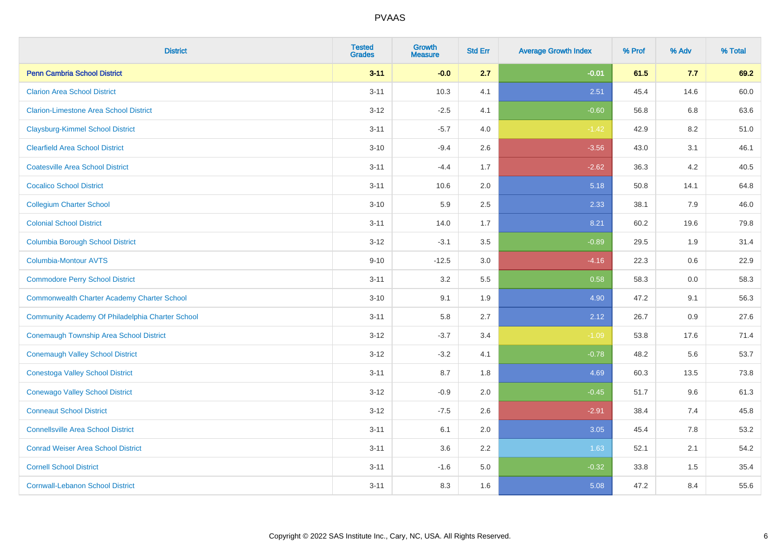| <b>District</b>                                    | <b>Tested</b><br><b>Grades</b> | <b>Growth</b><br><b>Measure</b> | <b>Std Err</b> | <b>Average Growth Index</b> | % Prof | % Adv | % Total |
|----------------------------------------------------|--------------------------------|---------------------------------|----------------|-----------------------------|--------|-------|---------|
| <b>Penn Cambria School District</b>                | $3 - 11$                       | $-0.0$                          | 2.7            | $-0.01$                     | 61.5   | 7.7   | 69.2    |
| <b>Clarion Area School District</b>                | $3 - 11$                       | 10.3                            | 4.1            | 2.51                        | 45.4   | 14.6  | 60.0    |
| <b>Clarion-Limestone Area School District</b>      | $3 - 12$                       | $-2.5$                          | 4.1            | $-0.60$                     | 56.8   | 6.8   | 63.6    |
| <b>Claysburg-Kimmel School District</b>            | $3 - 11$                       | $-5.7$                          | 4.0            | $-1.42$                     | 42.9   | 8.2   | 51.0    |
| <b>Clearfield Area School District</b>             | $3 - 10$                       | $-9.4$                          | 2.6            | $-3.56$                     | 43.0   | 3.1   | 46.1    |
| <b>Coatesville Area School District</b>            | $3 - 11$                       | $-4.4$                          | 1.7            | $-2.62$                     | 36.3   | 4.2   | 40.5    |
| <b>Cocalico School District</b>                    | $3 - 11$                       | 10.6                            | 2.0            | 5.18                        | 50.8   | 14.1  | 64.8    |
| <b>Collegium Charter School</b>                    | $3 - 10$                       | 5.9                             | 2.5            | 2.33                        | 38.1   | 7.9   | 46.0    |
| <b>Colonial School District</b>                    | $3 - 11$                       | 14.0                            | 1.7            | 8.21                        | 60.2   | 19.6  | 79.8    |
| <b>Columbia Borough School District</b>            | $3 - 12$                       | $-3.1$                          | 3.5            | $-0.89$                     | 29.5   | 1.9   | 31.4    |
| Columbia-Montour AVTS                              | $9 - 10$                       | $-12.5$                         | 3.0            | $-4.16$                     | 22.3   | 0.6   | 22.9    |
| <b>Commodore Perry School District</b>             | $3 - 11$                       | 3.2                             | 5.5            | 0.58                        | 58.3   | 0.0   | 58.3    |
| <b>Commonwealth Charter Academy Charter School</b> | $3 - 10$                       | 9.1                             | 1.9            | 4.90                        | 47.2   | 9.1   | 56.3    |
| Community Academy Of Philadelphia Charter School   | $3 - 11$                       | 5.8                             | 2.7            | 2.12                        | 26.7   | 0.9   | 27.6    |
| <b>Conemaugh Township Area School District</b>     | $3 - 12$                       | $-3.7$                          | 3.4            | $-1.09$                     | 53.8   | 17.6  | 71.4    |
| <b>Conemaugh Valley School District</b>            | $3 - 12$                       | $-3.2$                          | 4.1            | $-0.78$                     | 48.2   | 5.6   | 53.7    |
| <b>Conestoga Valley School District</b>            | $3 - 11$                       | 8.7                             | 1.8            | 4.69                        | 60.3   | 13.5  | 73.8    |
| <b>Conewago Valley School District</b>             | $3 - 12$                       | $-0.9$                          | 2.0            | $-0.45$                     | 51.7   | 9.6   | 61.3    |
| <b>Conneaut School District</b>                    | $3 - 12$                       | $-7.5$                          | 2.6            | $-2.91$                     | 38.4   | 7.4   | 45.8    |
| <b>Connellsville Area School District</b>          | $3 - 11$                       | 6.1                             | 2.0            | 3.05                        | 45.4   | 7.8   | 53.2    |
| <b>Conrad Weiser Area School District</b>          | $3 - 11$                       | 3.6                             | 2.2            | 1.63                        | 52.1   | 2.1   | 54.2    |
| <b>Cornell School District</b>                     | $3 - 11$                       | $-1.6$                          | 5.0            | $-0.32$                     | 33.8   | 1.5   | 35.4    |
| <b>Cornwall-Lebanon School District</b>            | $3 - 11$                       | 8.3                             | 1.6            | 5.08                        | 47.2   | 8.4   | 55.6    |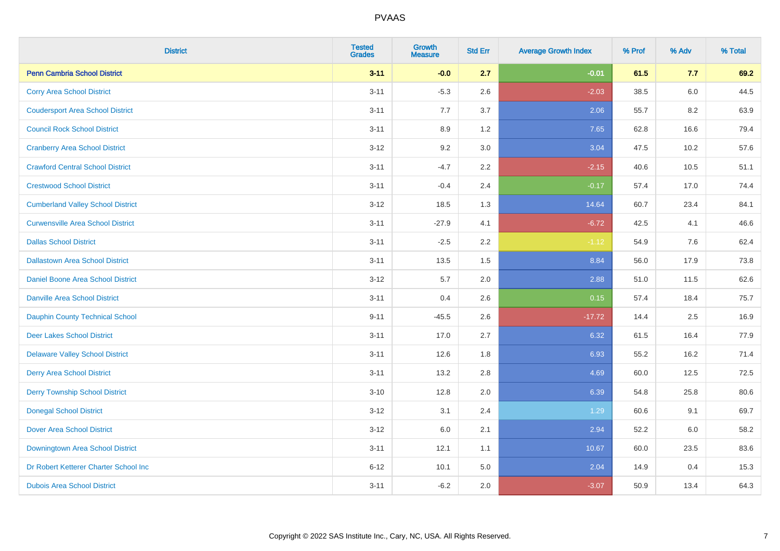| <b>District</b>                          | <b>Tested</b><br><b>Grades</b> | <b>Growth</b><br><b>Measure</b> | <b>Std Err</b> | <b>Average Growth Index</b> | % Prof | % Adv | % Total |
|------------------------------------------|--------------------------------|---------------------------------|----------------|-----------------------------|--------|-------|---------|
| <b>Penn Cambria School District</b>      | $3 - 11$                       | $-0.0$                          | 2.7            | $-0.01$                     | 61.5   | 7.7   | 69.2    |
| <b>Corry Area School District</b>        | $3 - 11$                       | $-5.3$                          | 2.6            | $-2.03$                     | 38.5   | 6.0   | 44.5    |
| <b>Coudersport Area School District</b>  | $3 - 11$                       | 7.7                             | 3.7            | 2.06                        | 55.7   | 8.2   | 63.9    |
| <b>Council Rock School District</b>      | $3 - 11$                       | 8.9                             | 1.2            | 7.65                        | 62.8   | 16.6  | 79.4    |
| <b>Cranberry Area School District</b>    | $3 - 12$                       | 9.2                             | 3.0            | 3.04                        | 47.5   | 10.2  | 57.6    |
| <b>Crawford Central School District</b>  | $3 - 11$                       | $-4.7$                          | 2.2            | $-2.15$                     | 40.6   | 10.5  | 51.1    |
| <b>Crestwood School District</b>         | $3 - 11$                       | $-0.4$                          | 2.4            | $-0.17$                     | 57.4   | 17.0  | 74.4    |
| <b>Cumberland Valley School District</b> | $3 - 12$                       | 18.5                            | 1.3            | 14.64                       | 60.7   | 23.4  | 84.1    |
| <b>Curwensville Area School District</b> | $3 - 11$                       | $-27.9$                         | 4.1            | $-6.72$                     | 42.5   | 4.1   | 46.6    |
| <b>Dallas School District</b>            | $3 - 11$                       | $-2.5$                          | 2.2            | $-1.12$                     | 54.9   | 7.6   | 62.4    |
| <b>Dallastown Area School District</b>   | $3 - 11$                       | 13.5                            | 1.5            | 8.84                        | 56.0   | 17.9  | 73.8    |
| Daniel Boone Area School District        | $3 - 12$                       | 5.7                             | 2.0            | 2.88                        | 51.0   | 11.5  | 62.6    |
| <b>Danville Area School District</b>     | $3 - 11$                       | 0.4                             | 2.6            | 0.15                        | 57.4   | 18.4  | 75.7    |
| Dauphin County Technical School          | $9 - 11$                       | $-45.5$                         | 2.6            | $-17.72$                    | 14.4   | 2.5   | 16.9    |
| <b>Deer Lakes School District</b>        | $3 - 11$                       | 17.0                            | 2.7            | 6.32                        | 61.5   | 16.4  | 77.9    |
| <b>Delaware Valley School District</b>   | $3 - 11$                       | 12.6                            | 1.8            | 6.93                        | 55.2   | 16.2  | 71.4    |
| <b>Derry Area School District</b>        | $3 - 11$                       | 13.2                            | 2.8            | 4.69                        | 60.0   | 12.5  | 72.5    |
| <b>Derry Township School District</b>    | $3 - 10$                       | 12.8                            | 2.0            | 6.39                        | 54.8   | 25.8  | 80.6    |
| <b>Donegal School District</b>           | $3 - 12$                       | 3.1                             | 2.4            | 1.29                        | 60.6   | 9.1   | 69.7    |
| <b>Dover Area School District</b>        | $3 - 12$                       | 6.0                             | 2.1            | 2.94                        | 52.2   | 6.0   | 58.2    |
| <b>Downingtown Area School District</b>  | $3 - 11$                       | 12.1                            | 1.1            | 10.67                       | 60.0   | 23.5  | 83.6    |
| Dr Robert Ketterer Charter School Inc    | $6 - 12$                       | 10.1                            | 5.0            | 2.04                        | 14.9   | 0.4   | 15.3    |
| <b>Dubois Area School District</b>       | $3 - 11$                       | $-6.2$                          | 2.0            | $-3.07$                     | 50.9   | 13.4  | 64.3    |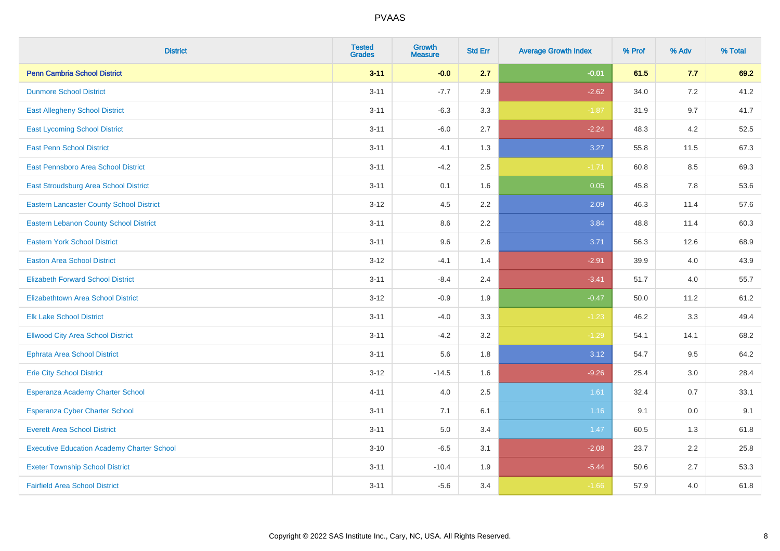| <b>District</b>                                   | <b>Tested</b><br><b>Grades</b> | Growth<br><b>Measure</b> | <b>Std Err</b> | <b>Average Growth Index</b> | % Prof | % Adv | % Total |
|---------------------------------------------------|--------------------------------|--------------------------|----------------|-----------------------------|--------|-------|---------|
| <b>Penn Cambria School District</b>               | $3 - 11$                       | $-0.0$                   | 2.7            | $-0.01$                     | 61.5   | 7.7   | 69.2    |
| <b>Dunmore School District</b>                    | $3 - 11$                       | $-7.7$                   | 2.9            | $-2.62$                     | 34.0   | 7.2   | 41.2    |
| <b>East Allegheny School District</b>             | $3 - 11$                       | $-6.3$                   | 3.3            | $-1.87$                     | 31.9   | 9.7   | 41.7    |
| <b>East Lycoming School District</b>              | $3 - 11$                       | $-6.0$                   | 2.7            | $-2.24$                     | 48.3   | 4.2   | 52.5    |
| <b>East Penn School District</b>                  | $3 - 11$                       | 4.1                      | 1.3            | 3.27                        | 55.8   | 11.5  | 67.3    |
| <b>East Pennsboro Area School District</b>        | $3 - 11$                       | $-4.2$                   | 2.5            | $-1.71$                     | 60.8   | 8.5   | 69.3    |
| East Stroudsburg Area School District             | $3 - 11$                       | 0.1                      | 1.6            | 0.05                        | 45.8   | 7.8   | 53.6    |
| <b>Eastern Lancaster County School District</b>   | $3 - 12$                       | 4.5                      | 2.2            | 2.09                        | 46.3   | 11.4  | 57.6    |
| <b>Eastern Lebanon County School District</b>     | $3 - 11$                       | 8.6                      | 2.2            | 3.84                        | 48.8   | 11.4  | 60.3    |
| <b>Eastern York School District</b>               | $3 - 11$                       | 9.6                      | 2.6            | 3.71                        | 56.3   | 12.6  | 68.9    |
| <b>Easton Area School District</b>                | $3 - 12$                       | $-4.1$                   | 1.4            | $-2.91$                     | 39.9   | 4.0   | 43.9    |
| <b>Elizabeth Forward School District</b>          | $3 - 11$                       | $-8.4$                   | 2.4            | $-3.41$                     | 51.7   | 4.0   | 55.7    |
| <b>Elizabethtown Area School District</b>         | $3 - 12$                       | $-0.9$                   | 1.9            | $-0.47$                     | 50.0   | 11.2  | 61.2    |
| <b>Elk Lake School District</b>                   | $3 - 11$                       | $-4.0$                   | 3.3            | $-1.23$                     | 46.2   | 3.3   | 49.4    |
| <b>Ellwood City Area School District</b>          | $3 - 11$                       | $-4.2$                   | 3.2            | $-1.29$                     | 54.1   | 14.1  | 68.2    |
| <b>Ephrata Area School District</b>               | $3 - 11$                       | 5.6                      | 1.8            | 3.12                        | 54.7   | 9.5   | 64.2    |
| <b>Erie City School District</b>                  | $3 - 12$                       | $-14.5$                  | 1.6            | $-9.26$                     | 25.4   | 3.0   | 28.4    |
| Esperanza Academy Charter School                  | $4 - 11$                       | 4.0                      | 2.5            | 1.61                        | 32.4   | 0.7   | 33.1    |
| <b>Esperanza Cyber Charter School</b>             | $3 - 11$                       | 7.1                      | 6.1            | 1.16                        | 9.1    | 0.0   | 9.1     |
| <b>Everett Area School District</b>               | $3 - 11$                       | $5.0\,$                  | 3.4            | 1.47                        | 60.5   | 1.3   | 61.8    |
| <b>Executive Education Academy Charter School</b> | $3 - 10$                       | $-6.5$                   | 3.1            | $-2.08$                     | 23.7   | 2.2   | 25.8    |
| <b>Exeter Township School District</b>            | $3 - 11$                       | $-10.4$                  | 1.9            | $-5.44$                     | 50.6   | 2.7   | 53.3    |
| <b>Fairfield Area School District</b>             | $3 - 11$                       | $-5.6$                   | 3.4            | $-1.66$                     | 57.9   | 4.0   | 61.8    |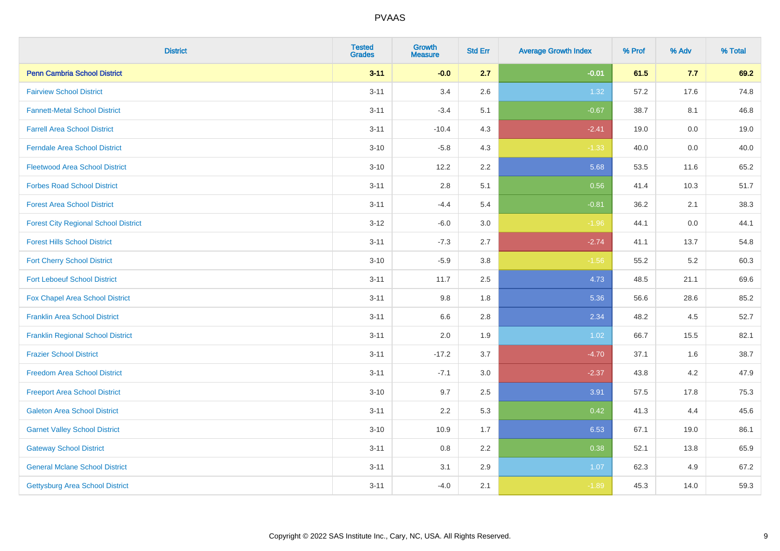| <b>District</b>                             | <b>Tested</b><br><b>Grades</b> | <b>Growth</b><br><b>Measure</b> | <b>Std Err</b> | <b>Average Growth Index</b> | % Prof | % Adv   | % Total |
|---------------------------------------------|--------------------------------|---------------------------------|----------------|-----------------------------|--------|---------|---------|
| <b>Penn Cambria School District</b>         | $3 - 11$                       | $-0.0$                          | 2.7            | $-0.01$                     | 61.5   | 7.7     | 69.2    |
| <b>Fairview School District</b>             | $3 - 11$                       | 3.4                             | 2.6            | 1.32                        | 57.2   | 17.6    | 74.8    |
| <b>Fannett-Metal School District</b>        | $3 - 11$                       | $-3.4$                          | 5.1            | $-0.67$                     | 38.7   | 8.1     | 46.8    |
| <b>Farrell Area School District</b>         | $3 - 11$                       | $-10.4$                         | 4.3            | $-2.41$                     | 19.0   | $0.0\,$ | 19.0    |
| <b>Ferndale Area School District</b>        | $3 - 10$                       | $-5.8$                          | 4.3            | $-1.33$                     | 40.0   | 0.0     | 40.0    |
| <b>Fleetwood Area School District</b>       | $3 - 10$                       | 12.2                            | 2.2            | 5.68                        | 53.5   | 11.6    | 65.2    |
| <b>Forbes Road School District</b>          | $3 - 11$                       | 2.8                             | 5.1            | 0.56                        | 41.4   | 10.3    | 51.7    |
| <b>Forest Area School District</b>          | $3 - 11$                       | $-4.4$                          | 5.4            | $-0.81$                     | 36.2   | 2.1     | 38.3    |
| <b>Forest City Regional School District</b> | $3 - 12$                       | $-6.0$                          | 3.0            | $-1.96$                     | 44.1   | 0.0     | 44.1    |
| <b>Forest Hills School District</b>         | $3 - 11$                       | $-7.3$                          | 2.7            | $-2.74$                     | 41.1   | 13.7    | 54.8    |
| <b>Fort Cherry School District</b>          | $3 - 10$                       | $-5.9$                          | 3.8            | $-1.56$                     | 55.2   | 5.2     | 60.3    |
| <b>Fort Leboeuf School District</b>         | $3 - 11$                       | 11.7                            | 2.5            | 4.73                        | 48.5   | 21.1    | 69.6    |
| <b>Fox Chapel Area School District</b>      | $3 - 11$                       | 9.8                             | 1.8            | 5.36                        | 56.6   | 28.6    | 85.2    |
| <b>Franklin Area School District</b>        | $3 - 11$                       | 6.6                             | 2.8            | 2.34                        | 48.2   | 4.5     | 52.7    |
| <b>Franklin Regional School District</b>    | $3 - 11$                       | 2.0                             | 1.9            | 1.02                        | 66.7   | 15.5    | 82.1    |
| <b>Frazier School District</b>              | $3 - 11$                       | $-17.2$                         | 3.7            | $-4.70$                     | 37.1   | 1.6     | 38.7    |
| <b>Freedom Area School District</b>         | $3 - 11$                       | $-7.1$                          | $3.0\,$        | $-2.37$                     | 43.8   | 4.2     | 47.9    |
| <b>Freeport Area School District</b>        | $3 - 10$                       | 9.7                             | 2.5            | 3.91                        | 57.5   | 17.8    | 75.3    |
| <b>Galeton Area School District</b>         | $3 - 11$                       | 2.2                             | 5.3            | 0.42                        | 41.3   | 4.4     | 45.6    |
| <b>Garnet Valley School District</b>        | $3 - 10$                       | 10.9                            | 1.7            | 6.53                        | 67.1   | 19.0    | 86.1    |
| <b>Gateway School District</b>              | $3 - 11$                       | 0.8                             | 2.2            | 0.38                        | 52.1   | 13.8    | 65.9    |
| <b>General Mclane School District</b>       | $3 - 11$                       | 3.1                             | 2.9            | 1.07                        | 62.3   | 4.9     | 67.2    |
| <b>Gettysburg Area School District</b>      | $3 - 11$                       | $-4.0$                          | 2.1            | $-1.89$                     | 45.3   | 14.0    | 59.3    |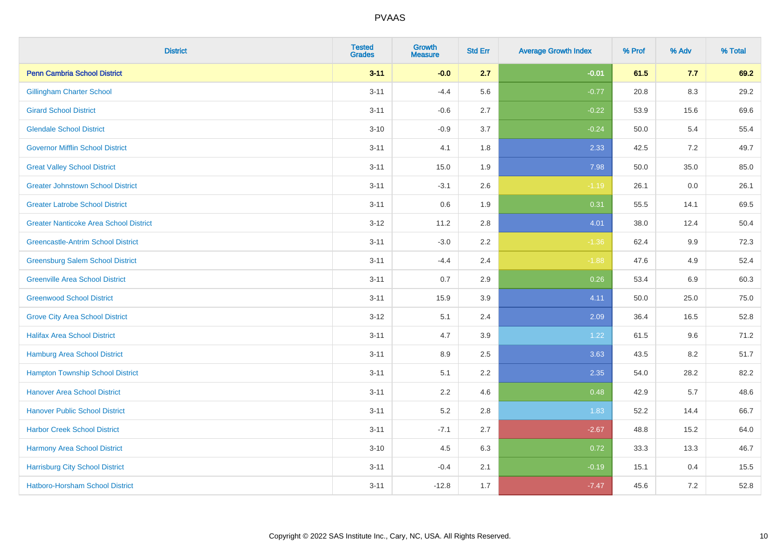| <b>District</b>                               | <b>Tested</b><br><b>Grades</b> | <b>Growth</b><br><b>Measure</b> | <b>Std Err</b> | <b>Average Growth Index</b> | % Prof | % Adv   | % Total |
|-----------------------------------------------|--------------------------------|---------------------------------|----------------|-----------------------------|--------|---------|---------|
| <b>Penn Cambria School District</b>           | $3 - 11$                       | $-0.0$                          | 2.7            | $-0.01$                     | 61.5   | 7.7     | 69.2    |
| <b>Gillingham Charter School</b>              | $3 - 11$                       | $-4.4$                          | 5.6            | $-0.77$                     | 20.8   | $8.3\,$ | 29.2    |
| <b>Girard School District</b>                 | $3 - 11$                       | $-0.6$                          | 2.7            | $-0.22$                     | 53.9   | 15.6    | 69.6    |
| <b>Glendale School District</b>               | $3 - 10$                       | $-0.9$                          | 3.7            | $-0.24$                     | 50.0   | 5.4     | 55.4    |
| <b>Governor Mifflin School District</b>       | $3 - 11$                       | 4.1                             | 1.8            | 2.33                        | 42.5   | 7.2     | 49.7    |
| <b>Great Valley School District</b>           | $3 - 11$                       | 15.0                            | 1.9            | 7.98                        | 50.0   | 35.0    | 85.0    |
| <b>Greater Johnstown School District</b>      | $3 - 11$                       | $-3.1$                          | 2.6            | $-1.19$                     | 26.1   | 0.0     | 26.1    |
| <b>Greater Latrobe School District</b>        | $3 - 11$                       | 0.6                             | 1.9            | 0.31                        | 55.5   | 14.1    | 69.5    |
| <b>Greater Nanticoke Area School District</b> | $3 - 12$                       | 11.2                            | 2.8            | 4.01                        | 38.0   | 12.4    | 50.4    |
| <b>Greencastle-Antrim School District</b>     | $3 - 11$                       | $-3.0$                          | 2.2            | $-1.36$                     | 62.4   | 9.9     | 72.3    |
| <b>Greensburg Salem School District</b>       | $3 - 11$                       | $-4.4$                          | 2.4            | $-1.88$                     | 47.6   | 4.9     | 52.4    |
| <b>Greenville Area School District</b>        | $3 - 11$                       | 0.7                             | 2.9            | 0.26                        | 53.4   | 6.9     | 60.3    |
| <b>Greenwood School District</b>              | $3 - 11$                       | 15.9                            | 3.9            | 4.11                        | 50.0   | 25.0    | 75.0    |
| <b>Grove City Area School District</b>        | $3 - 12$                       | 5.1                             | 2.4            | 2.09                        | 36.4   | 16.5    | 52.8    |
| <b>Halifax Area School District</b>           | $3 - 11$                       | 4.7                             | 3.9            | 1.22                        | 61.5   | 9.6     | 71.2    |
| <b>Hamburg Area School District</b>           | $3 - 11$                       | 8.9                             | 2.5            | 3.63                        | 43.5   | 8.2     | 51.7    |
| <b>Hampton Township School District</b>       | $3 - 11$                       | 5.1                             | 2.2            | 2.35                        | 54.0   | 28.2    | 82.2    |
| <b>Hanover Area School District</b>           | $3 - 11$                       | 2.2                             | 4.6            | 0.48                        | 42.9   | 5.7     | 48.6    |
| <b>Hanover Public School District</b>         | $3 - 11$                       | 5.2                             | 2.8            | 1.83                        | 52.2   | 14.4    | 66.7    |
| <b>Harbor Creek School District</b>           | $3 - 11$                       | $-7.1$                          | 2.7            | $-2.67$                     | 48.8   | 15.2    | 64.0    |
| <b>Harmony Area School District</b>           | $3 - 10$                       | 4.5                             | 6.3            | 0.72                        | 33.3   | 13.3    | 46.7    |
| <b>Harrisburg City School District</b>        | $3 - 11$                       | $-0.4$                          | 2.1            | $-0.19$                     | 15.1   | 0.4     | 15.5    |
| Hatboro-Horsham School District               | $3 - 11$                       | $-12.8$                         | 1.7            | $-7.47$                     | 45.6   | 7.2     | 52.8    |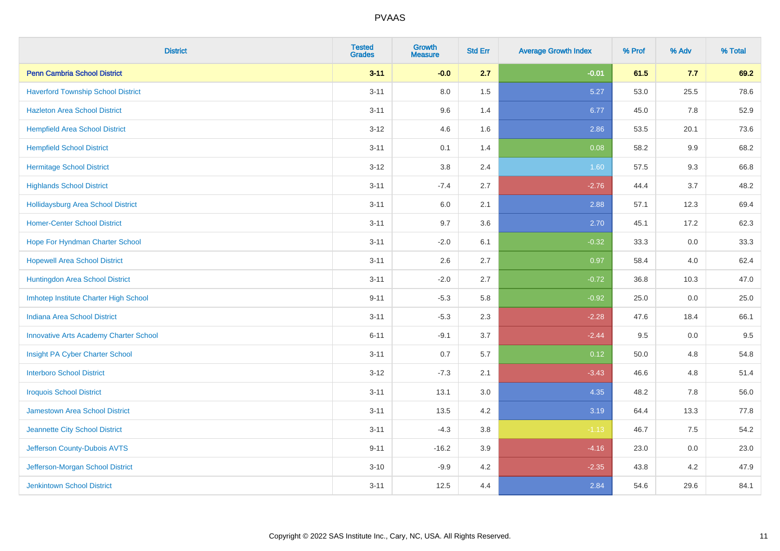| <b>District</b>                               | <b>Tested</b><br><b>Grades</b> | <b>Growth</b><br><b>Measure</b> | <b>Std Err</b> | <b>Average Growth Index</b> | % Prof | % Adv   | % Total |
|-----------------------------------------------|--------------------------------|---------------------------------|----------------|-----------------------------|--------|---------|---------|
| <b>Penn Cambria School District</b>           | $3 - 11$                       | $-0.0$                          | 2.7            | $-0.01$                     | 61.5   | 7.7     | 69.2    |
| <b>Haverford Township School District</b>     | $3 - 11$                       | 8.0                             | 1.5            | 5.27                        | 53.0   | 25.5    | 78.6    |
| <b>Hazleton Area School District</b>          | $3 - 11$                       | 9.6                             | 1.4            | 6.77                        | 45.0   | 7.8     | 52.9    |
| <b>Hempfield Area School District</b>         | $3 - 12$                       | 4.6                             | 1.6            | 2.86                        | 53.5   | 20.1    | 73.6    |
| <b>Hempfield School District</b>              | $3 - 11$                       | 0.1                             | 1.4            | 0.08                        | 58.2   | $9.9\,$ | 68.2    |
| <b>Hermitage School District</b>              | $3 - 12$                       | 3.8                             | 2.4            | 1.60                        | 57.5   | 9.3     | 66.8    |
| <b>Highlands School District</b>              | $3 - 11$                       | $-7.4$                          | 2.7            | $-2.76$                     | 44.4   | 3.7     | 48.2    |
| Hollidaysburg Area School District            | $3 - 11$                       | 6.0                             | 2.1            | 2.88                        | 57.1   | 12.3    | 69.4    |
| <b>Homer-Center School District</b>           | $3 - 11$                       | 9.7                             | 3.6            | 2.70                        | 45.1   | 17.2    | 62.3    |
| Hope For Hyndman Charter School               | $3 - 11$                       | $-2.0$                          | 6.1            | $-0.32$                     | 33.3   | 0.0     | 33.3    |
| <b>Hopewell Area School District</b>          | $3 - 11$                       | 2.6                             | 2.7            | 0.97                        | 58.4   | 4.0     | 62.4    |
| Huntingdon Area School District               | $3 - 11$                       | $-2.0$                          | 2.7            | $-0.72$                     | 36.8   | 10.3    | 47.0    |
| Imhotep Institute Charter High School         | $9 - 11$                       | $-5.3$                          | 5.8            | $-0.92$                     | 25.0   | 0.0     | 25.0    |
| <b>Indiana Area School District</b>           | $3 - 11$                       | $-5.3$                          | 2.3            | $-2.28$                     | 47.6   | 18.4    | 66.1    |
| <b>Innovative Arts Academy Charter School</b> | $6 - 11$                       | $-9.1$                          | 3.7            | $-2.44$                     | 9.5    | $0.0\,$ | 9.5     |
| Insight PA Cyber Charter School               | $3 - 11$                       | 0.7                             | 5.7            | 0.12                        | 50.0   | 4.8     | 54.8    |
| <b>Interboro School District</b>              | $3 - 12$                       | $-7.3$                          | 2.1            | $-3.43$                     | 46.6   | 4.8     | 51.4    |
| <b>Iroquois School District</b>               | $3 - 11$                       | 13.1                            | 3.0            | 4.35                        | 48.2   | 7.8     | 56.0    |
| Jamestown Area School District                | $3 - 11$                       | 13.5                            | 4.2            | 3.19                        | 64.4   | 13.3    | 77.8    |
| Jeannette City School District                | $3 - 11$                       | $-4.3$                          | $3.8\,$        | $-1.13$                     | 46.7   | 7.5     | 54.2    |
| Jefferson County-Dubois AVTS                  | $9 - 11$                       | $-16.2$                         | 3.9            | $-4.16$                     | 23.0   | 0.0     | 23.0    |
| Jefferson-Morgan School District              | $3 - 10$                       | $-9.9$                          | 4.2            | $-2.35$                     | 43.8   | 4.2     | 47.9    |
| <b>Jenkintown School District</b>             | $3 - 11$                       | 12.5                            | 4.4            | 2.84                        | 54.6   | 29.6    | 84.1    |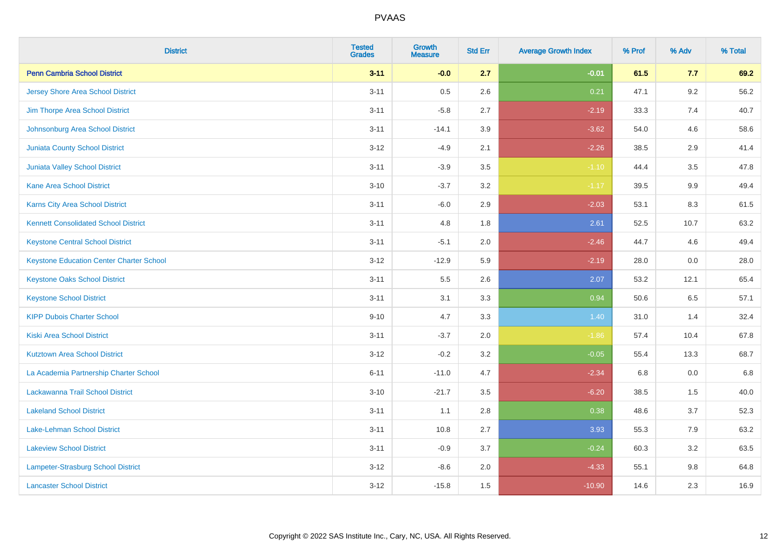| <b>District</b>                                 | <b>Tested</b><br><b>Grades</b> | Growth<br><b>Measure</b> | <b>Std Err</b> | <b>Average Growth Index</b> | % Prof | % Adv   | % Total |
|-------------------------------------------------|--------------------------------|--------------------------|----------------|-----------------------------|--------|---------|---------|
| <b>Penn Cambria School District</b>             | $3 - 11$                       | $-0.0$                   | 2.7            | $-0.01$                     | 61.5   | 7.7     | 69.2    |
| <b>Jersey Shore Area School District</b>        | $3 - 11$                       | 0.5                      | 2.6            | 0.21                        | 47.1   | 9.2     | 56.2    |
| Jim Thorpe Area School District                 | $3 - 11$                       | $-5.8$                   | 2.7            | $-2.19$                     | 33.3   | 7.4     | 40.7    |
| Johnsonburg Area School District                | $3 - 11$                       | $-14.1$                  | 3.9            | $-3.62$                     | 54.0   | 4.6     | 58.6    |
| <b>Juniata County School District</b>           | $3 - 12$                       | $-4.9$                   | 2.1            | $-2.26$                     | 38.5   | 2.9     | 41.4    |
| <b>Juniata Valley School District</b>           | $3 - 11$                       | $-3.9$                   | 3.5            | $-1.10$                     | 44.4   | 3.5     | 47.8    |
| <b>Kane Area School District</b>                | $3 - 10$                       | $-3.7$                   | 3.2            | $-1.17$                     | 39.5   | 9.9     | 49.4    |
| <b>Karns City Area School District</b>          | $3 - 11$                       | $-6.0$                   | 2.9            | $-2.03$                     | 53.1   | 8.3     | 61.5    |
| <b>Kennett Consolidated School District</b>     | $3 - 11$                       | 4.8                      | 1.8            | 2.61                        | 52.5   | 10.7    | 63.2    |
| <b>Keystone Central School District</b>         | $3 - 11$                       | $-5.1$                   | 2.0            | $-2.46$                     | 44.7   | 4.6     | 49.4    |
| <b>Keystone Education Center Charter School</b> | $3 - 12$                       | $-12.9$                  | 5.9            | $-2.19$                     | 28.0   | 0.0     | 28.0    |
| <b>Keystone Oaks School District</b>            | $3 - 11$                       | 5.5                      | 2.6            | 2.07                        | 53.2   | 12.1    | 65.4    |
| <b>Keystone School District</b>                 | $3 - 11$                       | 3.1                      | 3.3            | 0.94                        | 50.6   | 6.5     | 57.1    |
| <b>KIPP Dubois Charter School</b>               | $9 - 10$                       | 4.7                      | 3.3            | 1.40                        | 31.0   | 1.4     | 32.4    |
| <b>Kiski Area School District</b>               | $3 - 11$                       | $-3.7$                   | 2.0            | $-1.86$                     | 57.4   | 10.4    | 67.8    |
| <b>Kutztown Area School District</b>            | $3 - 12$                       | $-0.2$                   | 3.2            | $-0.05$                     | 55.4   | 13.3    | 68.7    |
| La Academia Partnership Charter School          | $6 - 11$                       | $-11.0$                  | 4.7            | $-2.34$                     | 6.8    | 0.0     | 6.8     |
| Lackawanna Trail School District                | $3 - 10$                       | $-21.7$                  | 3.5            | $-6.20$                     | 38.5   | 1.5     | 40.0    |
| <b>Lakeland School District</b>                 | $3 - 11$                       | 1.1                      | 2.8            | 0.38                        | 48.6   | 3.7     | 52.3    |
| Lake-Lehman School District                     | $3 - 11$                       | 10.8                     | 2.7            | 3.93                        | 55.3   | 7.9     | 63.2    |
| <b>Lakeview School District</b>                 | $3 - 11$                       | $-0.9$                   | 3.7            | $-0.24$                     | 60.3   | 3.2     | 63.5    |
| Lampeter-Strasburg School District              | $3 - 12$                       | $-8.6$                   | 2.0            | $-4.33$                     | 55.1   | $9.8\,$ | 64.8    |
| <b>Lancaster School District</b>                | $3 - 12$                       | $-15.8$                  | 1.5            | $-10.90$                    | 14.6   | 2.3     | 16.9    |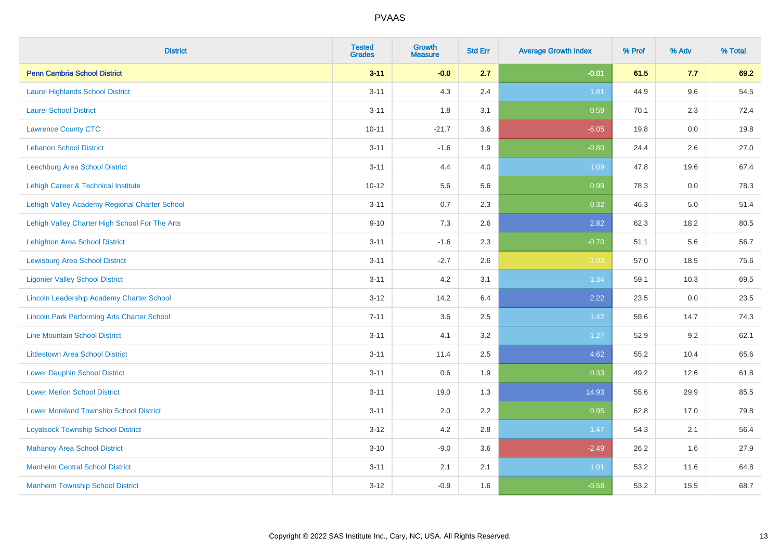| <b>District</b>                                    | <b>Tested</b><br><b>Grades</b> | <b>Growth</b><br><b>Measure</b> | <b>Std Err</b> | <b>Average Growth Index</b> | % Prof | % Adv   | % Total |
|----------------------------------------------------|--------------------------------|---------------------------------|----------------|-----------------------------|--------|---------|---------|
| <b>Penn Cambria School District</b>                | $3 - 11$                       | $-0.0$                          | 2.7            | $-0.01$                     | 61.5   | 7.7     | 69.2    |
| <b>Laurel Highlands School District</b>            | $3 - 11$                       | 4.3                             | 2.4            | 1.81                        | 44.9   | 9.6     | 54.5    |
| <b>Laurel School District</b>                      | $3 - 11$                       | 1.8                             | 3.1            | 0.59                        | 70.1   | 2.3     | 72.4    |
| <b>Lawrence County CTC</b>                         | $10 - 11$                      | $-21.7$                         | 3.6            | $-6.05$                     | 19.8   | $0.0\,$ | 19.8    |
| <b>Lebanon School District</b>                     | $3 - 11$                       | $-1.6$                          | 1.9            | $-0.80$                     | 24.4   | 2.6     | 27.0    |
| Leechburg Area School District                     | $3 - 11$                       | 4.4                             | 4.0            | 1.09                        | 47.8   | 19.6    | 67.4    |
| Lehigh Career & Technical Institute                | $10 - 12$                      | 5.6                             | 5.6            | 0.99                        | 78.3   | 0.0     | 78.3    |
| Lehigh Valley Academy Regional Charter School      | $3 - 11$                       | 0.7                             | 2.3            | 0.32                        | 46.3   | 5.0     | 51.4    |
| Lehigh Valley Charter High School For The Arts     | $9 - 10$                       | 7.3                             | 2.6            | 2.82                        | 62.3   | 18.2    | 80.5    |
| <b>Lehighton Area School District</b>              | $3 - 11$                       | $-1.6$                          | 2.3            | $-0.70$                     | 51.1   | 5.6     | 56.7    |
| <b>Lewisburg Area School District</b>              | $3 - 11$                       | $-2.7$                          | 2.6            | $-1.03$                     | 57.0   | 18.5    | 75.6    |
| <b>Ligonier Valley School District</b>             | $3 - 11$                       | 4.2                             | 3.1            | 1.34                        | 59.1   | 10.3    | 69.5    |
| Lincoln Leadership Academy Charter School          | $3 - 12$                       | 14.2                            | 6.4            | 2.22                        | 23.5   | 0.0     | 23.5    |
| <b>Lincoln Park Performing Arts Charter School</b> | $7 - 11$                       | 3.6                             | 2.5            | 1.42                        | 59.6   | 14.7    | 74.3    |
| <b>Line Mountain School District</b>               | $3 - 11$                       | 4.1                             | 3.2            | 1.27                        | 52.9   | 9.2     | 62.1    |
| <b>Littlestown Area School District</b>            | $3 - 11$                       | 11.4                            | 2.5            | 4.62                        | 55.2   | 10.4    | 65.6    |
| <b>Lower Dauphin School District</b>               | $3 - 11$                       | 0.6                             | 1.9            | 0.33                        | 49.2   | 12.6    | 61.8    |
| <b>Lower Merion School District</b>                | $3 - 11$                       | 19.0                            | 1.3            | 14.93                       | 55.6   | 29.9    | 85.5    |
| <b>Lower Moreland Township School District</b>     | $3 - 11$                       | 2.0                             | 2.2            | 0.95                        | 62.8   | 17.0    | 79.8    |
| <b>Loyalsock Township School District</b>          | $3-12$                         | 4.2                             | 2.8            | 1.47                        | 54.3   | 2.1     | 56.4    |
| <b>Mahanoy Area School District</b>                | $3 - 10$                       | $-9.0$                          | 3.6            | $-2.49$                     | 26.2   | 1.6     | 27.9    |
| <b>Manheim Central School District</b>             | $3 - 11$                       | 2.1                             | 2.1            | 1.01                        | 53.2   | 11.6    | 64.8    |
| <b>Manheim Township School District</b>            | $3-12$                         | $-0.9$                          | 1.6            | $-0.58$                     | 53.2   | 15.5    | 68.7    |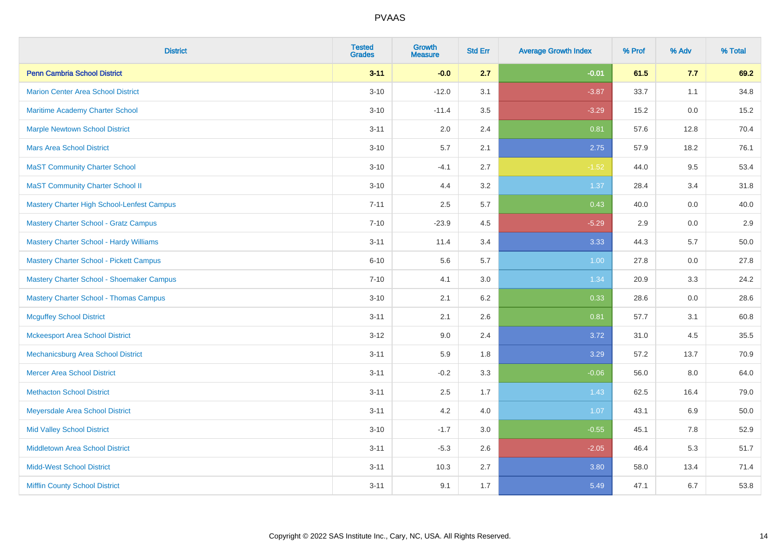| <b>District</b>                                | <b>Tested</b><br><b>Grades</b> | <b>Growth</b><br><b>Measure</b> | <b>Std Err</b> | <b>Average Growth Index</b> | % Prof | % Adv | % Total |
|------------------------------------------------|--------------------------------|---------------------------------|----------------|-----------------------------|--------|-------|---------|
| <b>Penn Cambria School District</b>            | $3 - 11$                       | $-0.0$                          | 2.7            | $-0.01$                     | 61.5   | 7.7   | 69.2    |
| <b>Marion Center Area School District</b>      | $3 - 10$                       | $-12.0$                         | 3.1            | $-3.87$                     | 33.7   | 1.1   | 34.8    |
| <b>Maritime Academy Charter School</b>         | $3 - 10$                       | $-11.4$                         | 3.5            | $-3.29$                     | 15.2   | 0.0   | 15.2    |
| <b>Marple Newtown School District</b>          | $3 - 11$                       | 2.0                             | 2.4            | 0.81                        | 57.6   | 12.8  | 70.4    |
| <b>Mars Area School District</b>               | $3 - 10$                       | 5.7                             | 2.1            | 2.75                        | 57.9   | 18.2  | 76.1    |
| <b>MaST Community Charter School</b>           | $3 - 10$                       | $-4.1$                          | 2.7            | $-1.52$                     | 44.0   | 9.5   | 53.4    |
| <b>MaST Community Charter School II</b>        | $3 - 10$                       | 4.4                             | 3.2            | 1.37                        | 28.4   | 3.4   | 31.8    |
| Mastery Charter High School-Lenfest Campus     | $7 - 11$                       | 2.5                             | 5.7            | 0.43                        | 40.0   | 0.0   | 40.0    |
| <b>Mastery Charter School - Gratz Campus</b>   | $7 - 10$                       | $-23.9$                         | 4.5            | $-5.29$                     | 2.9    | 0.0   | $2.9\,$ |
| <b>Mastery Charter School - Hardy Williams</b> | $3 - 11$                       | 11.4                            | 3.4            | 3.33                        | 44.3   | 5.7   | 50.0    |
| <b>Mastery Charter School - Pickett Campus</b> | $6 - 10$                       | 5.6                             | 5.7            | 1.00                        | 27.8   | 0.0   | 27.8    |
| Mastery Charter School - Shoemaker Campus      | $7 - 10$                       | 4.1                             | 3.0            | 1.34                        | 20.9   | 3.3   | 24.2    |
| <b>Mastery Charter School - Thomas Campus</b>  | $3 - 10$                       | 2.1                             | 6.2            | 0.33                        | 28.6   | 0.0   | 28.6    |
| <b>Mcguffey School District</b>                | $3 - 11$                       | 2.1                             | 2.6            | 0.81                        | 57.7   | 3.1   | 60.8    |
| <b>Mckeesport Area School District</b>         | $3 - 12$                       | 9.0                             | 2.4            | 3.72                        | 31.0   | 4.5   | 35.5    |
| Mechanicsburg Area School District             | $3 - 11$                       | 5.9                             | 1.8            | 3.29                        | 57.2   | 13.7  | 70.9    |
| <b>Mercer Area School District</b>             | $3 - 11$                       | $-0.2$                          | 3.3            | $-0.06$                     | 56.0   | 8.0   | 64.0    |
| <b>Methacton School District</b>               | $3 - 11$                       | 2.5                             | 1.7            | 1.43                        | 62.5   | 16.4  | 79.0    |
| Meyersdale Area School District                | $3 - 11$                       | 4.2                             | 4.0            | 1.07                        | 43.1   | 6.9   | 50.0    |
| <b>Mid Valley School District</b>              | $3 - 10$                       | $-1.7$                          | 3.0            | $-0.55$                     | 45.1   | 7.8   | 52.9    |
| <b>Middletown Area School District</b>         | $3 - 11$                       | $-5.3$                          | 2.6            | $-2.05$                     | 46.4   | 5.3   | 51.7    |
| <b>Midd-West School District</b>               | $3 - 11$                       | 10.3                            | 2.7            | 3.80                        | 58.0   | 13.4  | 71.4    |
| <b>Mifflin County School District</b>          | $3 - 11$                       | 9.1                             | 1.7            | 5.49                        | 47.1   | 6.7   | 53.8    |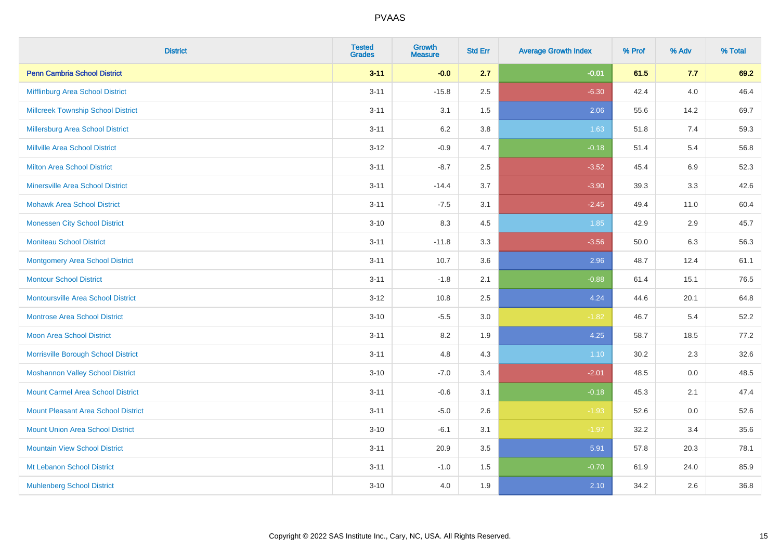| <b>District</b>                           | <b>Tested</b><br><b>Grades</b> | <b>Growth</b><br><b>Measure</b> | <b>Std Err</b> | <b>Average Growth Index</b> | % Prof | % Adv   | % Total |
|-------------------------------------------|--------------------------------|---------------------------------|----------------|-----------------------------|--------|---------|---------|
| <b>Penn Cambria School District</b>       | $3 - 11$                       | $-0.0$                          | 2.7            | $-0.01$                     | 61.5   | 7.7     | 69.2    |
| Mifflinburg Area School District          | $3 - 11$                       | $-15.8$                         | 2.5            | $-6.30$                     | 42.4   | 4.0     | 46.4    |
| <b>Millcreek Township School District</b> | $3 - 11$                       | 3.1                             | 1.5            | 2.06                        | 55.6   | 14.2    | 69.7    |
| Millersburg Area School District          | $3 - 11$                       | 6.2                             | 3.8            | 1.63                        | 51.8   | 7.4     | 59.3    |
| <b>Millville Area School District</b>     | $3-12$                         | $-0.9$                          | 4.7            | $-0.18$                     | 51.4   | 5.4     | 56.8    |
| <b>Milton Area School District</b>        | $3 - 11$                       | $-8.7$                          | 2.5            | $-3.52$                     | 45.4   | 6.9     | 52.3    |
| <b>Minersville Area School District</b>   | $3 - 11$                       | $-14.4$                         | 3.7            | $-3.90$                     | 39.3   | 3.3     | 42.6    |
| <b>Mohawk Area School District</b>        | $3 - 11$                       | $-7.5$                          | 3.1            | $-2.45$                     | 49.4   | 11.0    | 60.4    |
| <b>Monessen City School District</b>      | $3 - 10$                       | 8.3                             | 4.5            | 1.85                        | 42.9   | 2.9     | 45.7    |
| <b>Moniteau School District</b>           | $3 - 11$                       | $-11.8$                         | 3.3            | $-3.56$                     | 50.0   | 6.3     | 56.3    |
| Montgomery Area School District           | $3 - 11$                       | 10.7                            | 3.6            | 2.96                        | 48.7   | 12.4    | 61.1    |
| <b>Montour School District</b>            | $3 - 11$                       | $-1.8$                          | 2.1            | $-0.88$                     | 61.4   | 15.1    | 76.5    |
| <b>Montoursville Area School District</b> | $3-12$                         | 10.8                            | 2.5            | 4.24                        | 44.6   | 20.1    | 64.8    |
| <b>Montrose Area School District</b>      | $3 - 10$                       | $-5.5$                          | $3.0\,$        | $-1.82$                     | 46.7   | 5.4     | 52.2    |
| Moon Area School District                 | $3 - 11$                       | 8.2                             | 1.9            | 4.25                        | 58.7   | 18.5    | 77.2    |
| Morrisville Borough School District       | $3 - 11$                       | 4.8                             | 4.3            | 1.10                        | 30.2   | 2.3     | 32.6    |
| <b>Moshannon Valley School District</b>   | $3 - 10$                       | $-7.0$                          | 3.4            | $-2.01$                     | 48.5   | $0.0\,$ | 48.5    |
| <b>Mount Carmel Area School District</b>  | $3 - 11$                       | $-0.6$                          | 3.1            | $-0.18$                     | 45.3   | 2.1     | 47.4    |
| Mount Pleasant Area School District       | $3 - 11$                       | $-5.0$                          | 2.6            | $-1.93$                     | 52.6   | 0.0     | 52.6    |
| <b>Mount Union Area School District</b>   | $3 - 10$                       | $-6.1$                          | 3.1            | $-1.97$                     | 32.2   | 3.4     | 35.6    |
| <b>Mountain View School District</b>      | $3 - 11$                       | 20.9                            | 3.5            | 5.91                        | 57.8   | 20.3    | 78.1    |
| Mt Lebanon School District                | $3 - 11$                       | $-1.0$                          | 1.5            | $-0.70$                     | 61.9   | 24.0    | 85.9    |
| <b>Muhlenberg School District</b>         | $3 - 10$                       | 4.0                             | 1.9            | 2.10                        | 34.2   | 2.6     | 36.8    |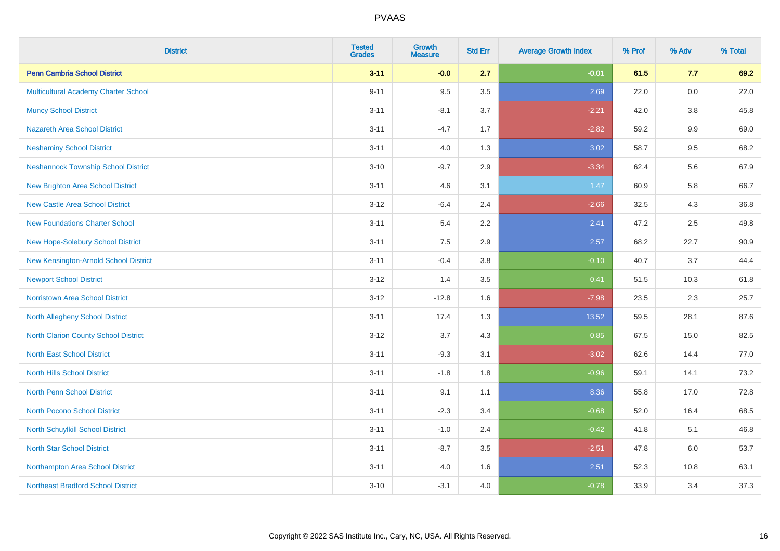| <b>District</b>                             | <b>Tested</b><br><b>Grades</b> | <b>Growth</b><br><b>Measure</b> | <b>Std Err</b> | <b>Average Growth Index</b> | % Prof | % Adv | % Total |
|---------------------------------------------|--------------------------------|---------------------------------|----------------|-----------------------------|--------|-------|---------|
| <b>Penn Cambria School District</b>         | $3 - 11$                       | $-0.0$                          | 2.7            | $-0.01$                     | 61.5   | 7.7   | 69.2    |
| Multicultural Academy Charter School        | $9 - 11$                       | 9.5                             | 3.5            | 2.69                        | 22.0   | 0.0   | 22.0    |
| <b>Muncy School District</b>                | $3 - 11$                       | $-8.1$                          | 3.7            | $-2.21$                     | 42.0   | 3.8   | 45.8    |
| <b>Nazareth Area School District</b>        | $3 - 11$                       | $-4.7$                          | 1.7            | $-2.82$                     | 59.2   | 9.9   | 69.0    |
| <b>Neshaminy School District</b>            | $3 - 11$                       | 4.0                             | 1.3            | 3.02                        | 58.7   | 9.5   | 68.2    |
| <b>Neshannock Township School District</b>  | $3 - 10$                       | $-9.7$                          | 2.9            | $-3.34$                     | 62.4   | 5.6   | 67.9    |
| <b>New Brighton Area School District</b>    | $3 - 11$                       | 4.6                             | 3.1            | 1.47                        | 60.9   | 5.8   | 66.7    |
| <b>New Castle Area School District</b>      | $3 - 12$                       | $-6.4$                          | 2.4            | $-2.66$                     | 32.5   | 4.3   | 36.8    |
| <b>New Foundations Charter School</b>       | $3 - 11$                       | 5.4                             | $2.2^{\circ}$  | 2.41                        | 47.2   | 2.5   | 49.8    |
| <b>New Hope-Solebury School District</b>    | $3 - 11$                       | 7.5                             | 2.9            | 2.57                        | 68.2   | 22.7  | 90.9    |
| New Kensington-Arnold School District       | $3 - 11$                       | $-0.4$                          | 3.8            | $-0.10$                     | 40.7   | 3.7   | 44.4    |
| <b>Newport School District</b>              | $3 - 12$                       | 1.4                             | 3.5            | 0.41                        | 51.5   | 10.3  | 61.8    |
| Norristown Area School District             | $3 - 12$                       | $-12.8$                         | 1.6            | $-7.98$                     | 23.5   | 2.3   | 25.7    |
| <b>North Allegheny School District</b>      | $3 - 11$                       | 17.4                            | 1.3            | 13.52                       | 59.5   | 28.1  | 87.6    |
| <b>North Clarion County School District</b> | $3 - 12$                       | 3.7                             | 4.3            | 0.85                        | 67.5   | 15.0  | 82.5    |
| <b>North East School District</b>           | $3 - 11$                       | $-9.3$                          | 3.1            | $-3.02$                     | 62.6   | 14.4  | 77.0    |
| <b>North Hills School District</b>          | $3 - 11$                       | $-1.8$                          | 1.8            | $-0.96$                     | 59.1   | 14.1  | 73.2    |
| <b>North Penn School District</b>           | $3 - 11$                       | 9.1                             | 1.1            | 8.36                        | 55.8   | 17.0  | 72.8    |
| <b>North Pocono School District</b>         | $3 - 11$                       | $-2.3$                          | 3.4            | $-0.68$                     | 52.0   | 16.4  | 68.5    |
| <b>North Schuylkill School District</b>     | $3 - 11$                       | $-1.0$                          | 2.4            | $-0.42$                     | 41.8   | 5.1   | 46.8    |
| <b>North Star School District</b>           | $3 - 11$                       | $-8.7$                          | 3.5            | $-2.51$                     | 47.8   | 6.0   | 53.7    |
| Northampton Area School District            | $3 - 11$                       | 4.0                             | 1.6            | 2.51                        | 52.3   | 10.8  | 63.1    |
| <b>Northeast Bradford School District</b>   | $3 - 10$                       | $-3.1$                          | 4.0            | $-0.78$                     | 33.9   | 3.4   | 37.3    |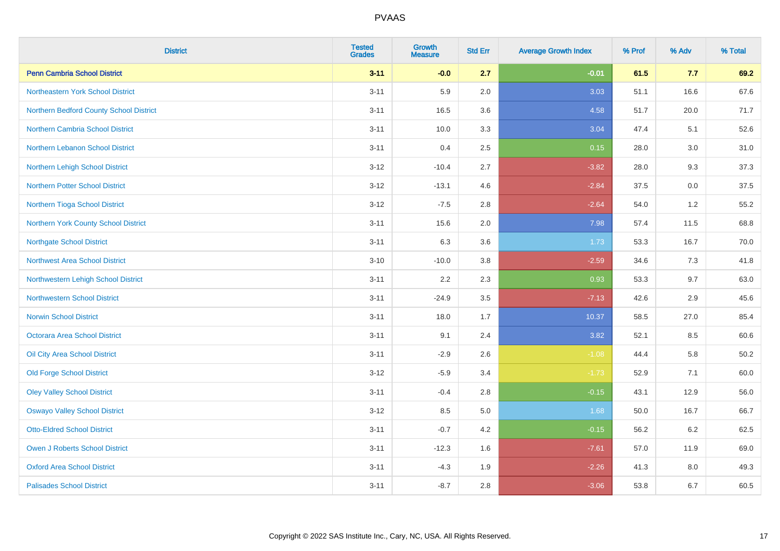| <b>District</b>                         | <b>Tested</b><br><b>Grades</b> | <b>Growth</b><br><b>Measure</b> | <b>Std Err</b> | <b>Average Growth Index</b> | % Prof | % Adv | % Total  |
|-----------------------------------------|--------------------------------|---------------------------------|----------------|-----------------------------|--------|-------|----------|
| <b>Penn Cambria School District</b>     | $3 - 11$                       | $-0.0$                          | 2.7            | $-0.01$                     | 61.5   | 7.7   | 69.2     |
| Northeastern York School District       | $3 - 11$                       | 5.9                             | 2.0            | 3.03                        | 51.1   | 16.6  | 67.6     |
| Northern Bedford County School District | $3 - 11$                       | 16.5                            | 3.6            | 4.58                        | 51.7   | 20.0  | 71.7     |
| <b>Northern Cambria School District</b> | $3 - 11$                       | 10.0                            | 3.3            | 3.04                        | 47.4   | 5.1   | 52.6     |
| Northern Lebanon School District        | $3 - 11$                       | 0.4                             | 2.5            | 0.15                        | 28.0   | 3.0   | 31.0     |
| Northern Lehigh School District         | $3 - 12$                       | $-10.4$                         | 2.7            | $-3.82$                     | 28.0   | 9.3   | 37.3     |
| <b>Northern Potter School District</b>  | $3 - 12$                       | $-13.1$                         | 4.6            | $-2.84$                     | 37.5   | 0.0   | 37.5     |
| Northern Tioga School District          | $3 - 12$                       | $-7.5$                          | 2.8            | $-2.64$                     | 54.0   | 1.2   | 55.2     |
| Northern York County School District    | $3 - 11$                       | 15.6                            | 2.0            | 7.98                        | 57.4   | 11.5  | 68.8     |
| <b>Northgate School District</b>        | $3 - 11$                       | 6.3                             | 3.6            | 1.73                        | 53.3   | 16.7  | 70.0     |
| <b>Northwest Area School District</b>   | $3 - 10$                       | $-10.0$                         | 3.8            | $-2.59$                     | 34.6   | 7.3   | 41.8     |
| Northwestern Lehigh School District     | $3 - 11$                       | 2.2                             | 2.3            | 0.93                        | 53.3   | 9.7   | 63.0     |
| <b>Northwestern School District</b>     | $3 - 11$                       | $-24.9$                         | 3.5            | $-7.13$                     | 42.6   | 2.9   | 45.6     |
| <b>Norwin School District</b>           | $3 - 11$                       | 18.0                            | 1.7            | 10.37                       | 58.5   | 27.0  | 85.4     |
| Octorara Area School District           | $3 - 11$                       | 9.1                             | 2.4            | 3.82                        | 52.1   | 8.5   | 60.6     |
| Oil City Area School District           | $3 - 11$                       | $-2.9$                          | 2.6            | $-1.08$                     | 44.4   | 5.8   | $50.2\,$ |
| <b>Old Forge School District</b>        | $3 - 12$                       | $-5.9$                          | 3.4            | $-1.73$                     | 52.9   | 7.1   | 60.0     |
| <b>Oley Valley School District</b>      | $3 - 11$                       | $-0.4$                          | 2.8            | $-0.15$                     | 43.1   | 12.9  | 56.0     |
| <b>Oswayo Valley School District</b>    | $3 - 12$                       | 8.5                             | 5.0            | 1.68                        | 50.0   | 16.7  | 66.7     |
| <b>Otto-Eldred School District</b>      | $3 - 11$                       | $-0.7$                          | 4.2            | $-0.15$                     | 56.2   | 6.2   | 62.5     |
| <b>Owen J Roberts School District</b>   | $3 - 11$                       | $-12.3$                         | 1.6            | $-7.61$                     | 57.0   | 11.9  | 69.0     |
| <b>Oxford Area School District</b>      | $3 - 11$                       | $-4.3$                          | 1.9            | $-2.26$                     | 41.3   | 8.0   | 49.3     |
| <b>Palisades School District</b>        | $3 - 11$                       | $-8.7$                          | 2.8            | $-3.06$                     | 53.8   | 6.7   | 60.5     |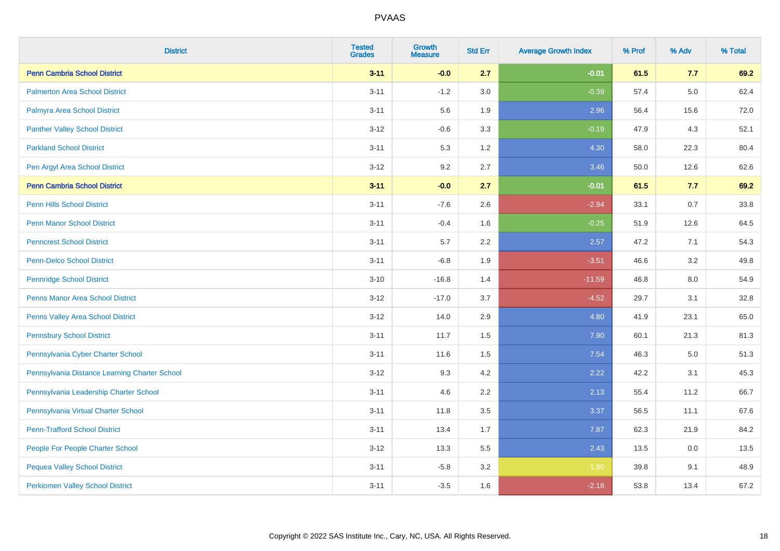| <b>District</b>                               | <b>Tested</b><br><b>Grades</b> | <b>Growth</b><br><b>Measure</b> | <b>Std Err</b> | <b>Average Growth Index</b> | % Prof | % Adv | % Total |
|-----------------------------------------------|--------------------------------|---------------------------------|----------------|-----------------------------|--------|-------|---------|
| <b>Penn Cambria School District</b>           | $3 - 11$                       | $-0.0$                          | 2.7            | $-0.01$                     | 61.5   | 7.7   | 69.2    |
| <b>Palmerton Area School District</b>         | $3 - 11$                       | $-1.2$                          | 3.0            | $-0.39$                     | 57.4   | 5.0   | 62.4    |
| Palmyra Area School District                  | $3 - 11$                       | 5.6                             | 1.9            | 2.96                        | 56.4   | 15.6  | 72.0    |
| <b>Panther Valley School District</b>         | $3 - 12$                       | $-0.6$                          | 3.3            | $-0.19$                     | 47.9   | 4.3   | 52.1    |
| <b>Parkland School District</b>               | $3 - 11$                       | 5.3                             | 1.2            | 4.30                        | 58.0   | 22.3  | 80.4    |
| Pen Argyl Area School District                | $3-12$                         | 9.2                             | 2.7            | 3.46                        | 50.0   | 12.6  | 62.6    |
| <b>Penn Cambria School District</b>           | $3 - 11$                       | $-0.0$                          | 2.7            | $-0.01$                     | 61.5   | 7.7   | 69.2    |
| <b>Penn Hills School District</b>             | $3 - 11$                       | $-7.6$                          | 2.6            | $-2.94$                     | 33.1   | 0.7   | 33.8    |
| <b>Penn Manor School District</b>             | $3 - 11$                       | $-0.4$                          | 1.6            | $-0.25$                     | 51.9   | 12.6  | 64.5    |
| <b>Penncrest School District</b>              | $3 - 11$                       | 5.7                             | 2.2            | 2.57                        | 47.2   | 7.1   | 54.3    |
| <b>Penn-Delco School District</b>             | $3 - 11$                       | $-6.8$                          | 1.9            | $-3.51$                     | 46.6   | 3.2   | 49.8    |
| <b>Pennridge School District</b>              | $3 - 10$                       | $-16.8$                         | 1.4            | $-11.59$                    | 46.8   | 8.0   | 54.9    |
| <b>Penns Manor Area School District</b>       | $3 - 12$                       | $-17.0$                         | 3.7            | $-4.52$                     | 29.7   | 3.1   | 32.8    |
| <b>Penns Valley Area School District</b>      | $3-12$                         | 14.0                            | 2.9            | 4.80                        | 41.9   | 23.1  | 65.0    |
| <b>Pennsbury School District</b>              | $3 - 11$                       | 11.7                            | 1.5            | 7.90                        | 60.1   | 21.3  | 81.3    |
| Pennsylvania Cyber Charter School             | $3 - 11$                       | 11.6                            | 1.5            | 7.54                        | 46.3   | 5.0   | 51.3    |
| Pennsylvania Distance Learning Charter School | $3 - 12$                       | 9.3                             | 4.2            | 2.22                        | 42.2   | 3.1   | 45.3    |
| Pennsylvania Leadership Charter School        | $3 - 11$                       | 4.6                             | 2.2            | 2.13                        | 55.4   | 11.2  | 66.7    |
| Pennsylvania Virtual Charter School           | $3 - 11$                       | 11.8                            | 3.5            | 3.37                        | 56.5   | 11.1  | 67.6    |
| <b>Penn-Trafford School District</b>          | $3 - 11$                       | 13.4                            | 1.7            | 7.87                        | 62.3   | 21.9  | 84.2    |
| People For People Charter School              | $3-12$                         | 13.3                            | 5.5            | 2.43                        | 13.5   | 0.0   | 13.5    |
| <b>Pequea Valley School District</b>          | $3 - 11$                       | $-5.8$                          | 3.2            | $-1.80$                     | 39.8   | 9.1   | 48.9    |
| <b>Perkiomen Valley School District</b>       | $3 - 11$                       | $-3.5$                          | 1.6            | $-2.18$                     | 53.8   | 13.4  | 67.2    |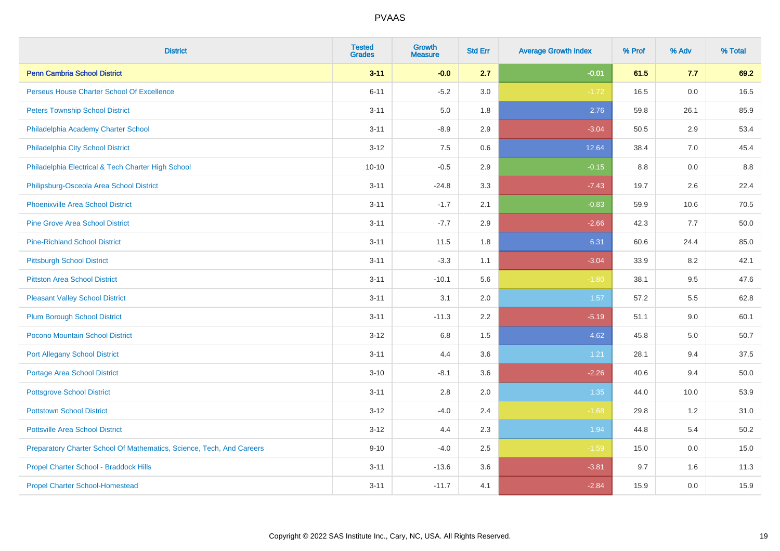| <b>District</b>                                                       | <b>Tested</b><br><b>Grades</b> | <b>Growth</b><br><b>Measure</b> | <b>Std Err</b> | <b>Average Growth Index</b> | % Prof | % Adv | % Total |
|-----------------------------------------------------------------------|--------------------------------|---------------------------------|----------------|-----------------------------|--------|-------|---------|
| <b>Penn Cambria School District</b>                                   | $3 - 11$                       | $-0.0$                          | 2.7            | $-0.01$                     | 61.5   | 7.7   | 69.2    |
| Perseus House Charter School Of Excellence                            | $6 - 11$                       | $-5.2$                          | 3.0            | $-1.72$                     | 16.5   | 0.0   | 16.5    |
| <b>Peters Township School District</b>                                | $3 - 11$                       | 5.0                             | 1.8            | 2.76                        | 59.8   | 26.1  | 85.9    |
| Philadelphia Academy Charter School                                   | $3 - 11$                       | $-8.9$                          | 2.9            | $-3.04$                     | 50.5   | 2.9   | 53.4    |
| Philadelphia City School District                                     | $3 - 12$                       | 7.5                             | 0.6            | 12.64                       | 38.4   | 7.0   | 45.4    |
| Philadelphia Electrical & Tech Charter High School                    | $10 - 10$                      | $-0.5$                          | 2.9            | $-0.15$                     | 8.8    | 0.0   | 8.8     |
| Philipsburg-Osceola Area School District                              | $3 - 11$                       | $-24.8$                         | 3.3            | $-7.43$                     | 19.7   | 2.6   | 22.4    |
| <b>Phoenixville Area School District</b>                              | $3 - 11$                       | $-1.7$                          | 2.1            | $-0.83$                     | 59.9   | 10.6  | 70.5    |
| <b>Pine Grove Area School District</b>                                | $3 - 11$                       | $-7.7$                          | 2.9            | $-2.66$                     | 42.3   | 7.7   | 50.0    |
| <b>Pine-Richland School District</b>                                  | $3 - 11$                       | 11.5                            | 1.8            | 6.31                        | 60.6   | 24.4  | 85.0    |
| <b>Pittsburgh School District</b>                                     | $3 - 11$                       | $-3.3$                          | 1.1            | $-3.04$                     | 33.9   | 8.2   | 42.1    |
| <b>Pittston Area School District</b>                                  | $3 - 11$                       | $-10.1$                         | 5.6            | $-1.80$                     | 38.1   | 9.5   | 47.6    |
| <b>Pleasant Valley School District</b>                                | $3 - 11$                       | 3.1                             | 2.0            | 1.57                        | 57.2   | 5.5   | 62.8    |
| <b>Plum Borough School District</b>                                   | $3 - 11$                       | $-11.3$                         | 2.2            | $-5.19$                     | 51.1   | 9.0   | 60.1    |
| Pocono Mountain School District                                       | $3 - 12$                       | $6.8\,$                         | 1.5            | 4.62                        | 45.8   | 5.0   | 50.7    |
| <b>Port Allegany School District</b>                                  | $3 - 11$                       | 4.4                             | 3.6            | 1.21                        | 28.1   | 9.4   | 37.5    |
| <b>Portage Area School District</b>                                   | $3 - 10$                       | $-8.1$                          | 3.6            | $-2.26$                     | 40.6   | 9.4   | 50.0    |
| <b>Pottsgrove School District</b>                                     | $3 - 11$                       | 2.8                             | 2.0            | 1.35                        | 44.0   | 10.0  | 53.9    |
| <b>Pottstown School District</b>                                      | $3 - 12$                       | $-4.0$                          | 2.4            | $-1.68$                     | 29.8   | 1.2   | 31.0    |
| <b>Pottsville Area School District</b>                                | $3 - 12$                       | 4.4                             | 2.3            | 1.94                        | 44.8   | 5.4   | 50.2    |
| Preparatory Charter School Of Mathematics, Science, Tech, And Careers | $9 - 10$                       | $-4.0$                          | 2.5            | $-1.59$                     | 15.0   | 0.0   | 15.0    |
| Propel Charter School - Braddock Hills                                | $3 - 11$                       | $-13.6$                         | 3.6            | $-3.81$                     | 9.7    | 1.6   | 11.3    |
| <b>Propel Charter School-Homestead</b>                                | $3 - 11$                       | $-11.7$                         | 4.1            | $-2.84$                     | 15.9   | 0.0   | 15.9    |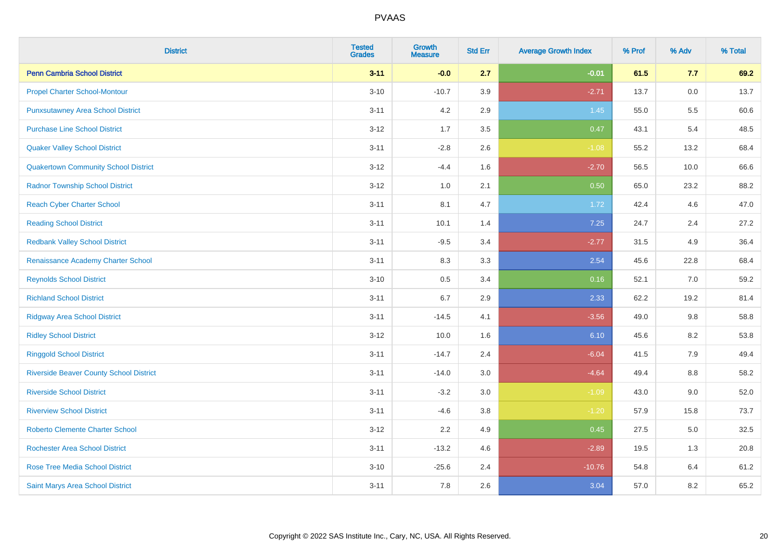| <b>District</b>                                | <b>Tested</b><br><b>Grades</b> | <b>Growth</b><br><b>Measure</b> | <b>Std Err</b> | <b>Average Growth Index</b> | % Prof | % Adv | % Total |
|------------------------------------------------|--------------------------------|---------------------------------|----------------|-----------------------------|--------|-------|---------|
| <b>Penn Cambria School District</b>            | $3 - 11$                       | $-0.0$                          | 2.7            | $-0.01$                     | 61.5   | 7.7   | 69.2    |
| <b>Propel Charter School-Montour</b>           | $3 - 10$                       | $-10.7$                         | 3.9            | $-2.71$                     | 13.7   | 0.0   | 13.7    |
| <b>Punxsutawney Area School District</b>       | $3 - 11$                       | 4.2                             | 2.9            | 1.45                        | 55.0   | 5.5   | 60.6    |
| <b>Purchase Line School District</b>           | $3 - 12$                       | 1.7                             | 3.5            | 0.47                        | 43.1   | 5.4   | 48.5    |
| <b>Quaker Valley School District</b>           | $3 - 11$                       | $-2.8$                          | 2.6            | $-1.08$                     | 55.2   | 13.2  | 68.4    |
| <b>Quakertown Community School District</b>    | $3 - 12$                       | $-4.4$                          | 1.6            | $-2.70$                     | 56.5   | 10.0  | 66.6    |
| <b>Radnor Township School District</b>         | $3 - 12$                       | 1.0                             | 2.1            | 0.50                        | 65.0   | 23.2  | 88.2    |
| <b>Reach Cyber Charter School</b>              | $3 - 11$                       | 8.1                             | 4.7            | 1.72                        | 42.4   | 4.6   | 47.0    |
| <b>Reading School District</b>                 | $3 - 11$                       | 10.1                            | 1.4            | 7.25                        | 24.7   | 2.4   | 27.2    |
| <b>Redbank Valley School District</b>          | $3 - 11$                       | $-9.5$                          | 3.4            | $-2.77$                     | 31.5   | 4.9   | 36.4    |
| Renaissance Academy Charter School             | $3 - 11$                       | 8.3                             | 3.3            | 2.54                        | 45.6   | 22.8  | 68.4    |
| <b>Reynolds School District</b>                | $3 - 10$                       | 0.5                             | 3.4            | 0.16                        | 52.1   | 7.0   | 59.2    |
| <b>Richland School District</b>                | $3 - 11$                       | 6.7                             | 2.9            | 2.33                        | 62.2   | 19.2  | 81.4    |
| <b>Ridgway Area School District</b>            | $3 - 11$                       | $-14.5$                         | 4.1            | $-3.56$                     | 49.0   | 9.8   | 58.8    |
| <b>Ridley School District</b>                  | $3 - 12$                       | 10.0                            | 1.6            | 6.10                        | 45.6   | 8.2   | 53.8    |
| <b>Ringgold School District</b>                | $3 - 11$                       | $-14.7$                         | 2.4            | $-6.04$                     | 41.5   | 7.9   | 49.4    |
| <b>Riverside Beaver County School District</b> | $3 - 11$                       | $-14.0$                         | 3.0            | $-4.64$                     | 49.4   | 8.8   | 58.2    |
| <b>Riverside School District</b>               | $3 - 11$                       | $-3.2$                          | 3.0            | $-1.09$                     | 43.0   | 9.0   | 52.0    |
| <b>Riverview School District</b>               | $3 - 11$                       | $-4.6$                          | $3.8\,$        | $-1.20$                     | 57.9   | 15.8  | 73.7    |
| <b>Roberto Clemente Charter School</b>         | $3 - 12$                       | 2.2                             | 4.9            | 0.45                        | 27.5   | 5.0   | 32.5    |
| <b>Rochester Area School District</b>          | $3 - 11$                       | $-13.2$                         | 4.6            | $-2.89$                     | 19.5   | 1.3   | 20.8    |
| <b>Rose Tree Media School District</b>         | $3 - 10$                       | $-25.6$                         | 2.4            | $-10.76$                    | 54.8   | 6.4   | 61.2    |
| <b>Saint Marys Area School District</b>        | $3 - 11$                       | 7.8                             | 2.6            | 3.04                        | 57.0   | 8.2   | 65.2    |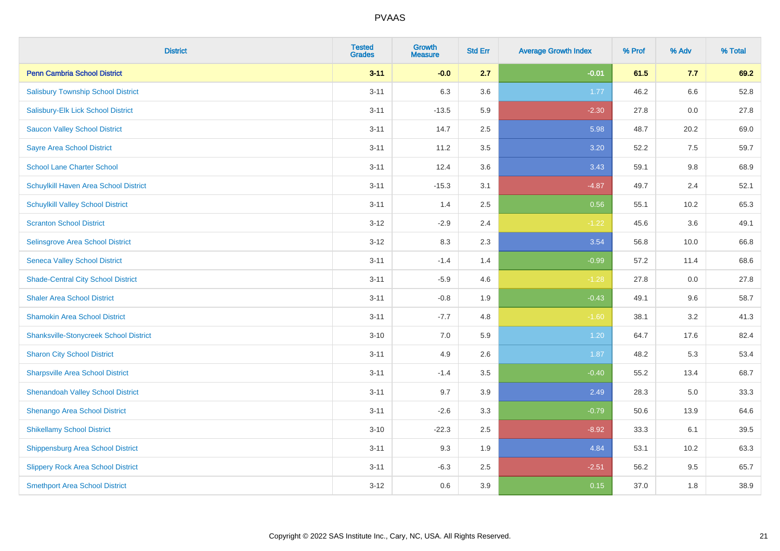| <b>District</b>                               | <b>Tested</b><br><b>Grades</b> | <b>Growth</b><br><b>Measure</b> | <b>Std Err</b> | <b>Average Growth Index</b> | % Prof | % Adv | % Total |
|-----------------------------------------------|--------------------------------|---------------------------------|----------------|-----------------------------|--------|-------|---------|
| <b>Penn Cambria School District</b>           | $3 - 11$                       | $-0.0$                          | 2.7            | $-0.01$                     | 61.5   | 7.7   | 69.2    |
| <b>Salisbury Township School District</b>     | $3 - 11$                       | 6.3                             | 3.6            | 1.77                        | 46.2   | 6.6   | 52.8    |
| Salisbury-Elk Lick School District            | $3 - 11$                       | $-13.5$                         | 5.9            | $-2.30$                     | 27.8   | 0.0   | 27.8    |
| <b>Saucon Valley School District</b>          | $3 - 11$                       | 14.7                            | 2.5            | 5.98                        | 48.7   | 20.2  | 69.0    |
| <b>Sayre Area School District</b>             | $3 - 11$                       | 11.2                            | 3.5            | 3.20                        | 52.2   | 7.5   | 59.7    |
| <b>School Lane Charter School</b>             | $3 - 11$                       | 12.4                            | 3.6            | 3.43                        | 59.1   | 9.8   | 68.9    |
| Schuylkill Haven Area School District         | $3 - 11$                       | $-15.3$                         | 3.1            | $-4.87$                     | 49.7   | 2.4   | 52.1    |
| <b>Schuylkill Valley School District</b>      | $3 - 11$                       | 1.4                             | 2.5            | 0.56                        | 55.1   | 10.2  | 65.3    |
| <b>Scranton School District</b>               | $3 - 12$                       | $-2.9$                          | 2.4            | $-1.22$                     | 45.6   | 3.6   | 49.1    |
| Selinsgrove Area School District              | $3 - 12$                       | 8.3                             | 2.3            | 3.54                        | 56.8   | 10.0  | 66.8    |
| <b>Seneca Valley School District</b>          | $3 - 11$                       | $-1.4$                          | 1.4            | $-0.99$                     | 57.2   | 11.4  | 68.6    |
| <b>Shade-Central City School District</b>     | $3 - 11$                       | $-5.9$                          | 4.6            | $-1.28$                     | 27.8   | 0.0   | 27.8    |
| <b>Shaler Area School District</b>            | $3 - 11$                       | $-0.8$                          | 1.9            | $-0.43$                     | 49.1   | 9.6   | 58.7    |
| <b>Shamokin Area School District</b>          | $3 - 11$                       | $-7.7$                          | 4.8            | $-1.60$                     | 38.1   | 3.2   | 41.3    |
| <b>Shanksville-Stonycreek School District</b> | $3 - 10$                       | $7.0\,$                         | 5.9            | 1.20                        | 64.7   | 17.6  | 82.4    |
| <b>Sharon City School District</b>            | $3 - 11$                       | 4.9                             | 2.6            | 1.87                        | 48.2   | 5.3   | 53.4    |
| <b>Sharpsville Area School District</b>       | $3 - 11$                       | $-1.4$                          | 3.5            | $-0.40$                     | 55.2   | 13.4  | 68.7    |
| <b>Shenandoah Valley School District</b>      | $3 - 11$                       | 9.7                             | 3.9            | 2.49                        | 28.3   | 5.0   | 33.3    |
| Shenango Area School District                 | $3 - 11$                       | $-2.6$                          | 3.3            | $-0.79$                     | 50.6   | 13.9  | 64.6    |
| <b>Shikellamy School District</b>             | $3 - 10$                       | $-22.3$                         | 2.5            | $-8.92$                     | 33.3   | 6.1   | 39.5    |
| <b>Shippensburg Area School District</b>      | $3 - 11$                       | 9.3                             | 1.9            | 4.84                        | 53.1   | 10.2  | 63.3    |
| <b>Slippery Rock Area School District</b>     | $3 - 11$                       | $-6.3$                          | 2.5            | $-2.51$                     | 56.2   | 9.5   | 65.7    |
| <b>Smethport Area School District</b>         | $3-12$                         | 0.6                             | 3.9            | 0.15                        | 37.0   | 1.8   | 38.9    |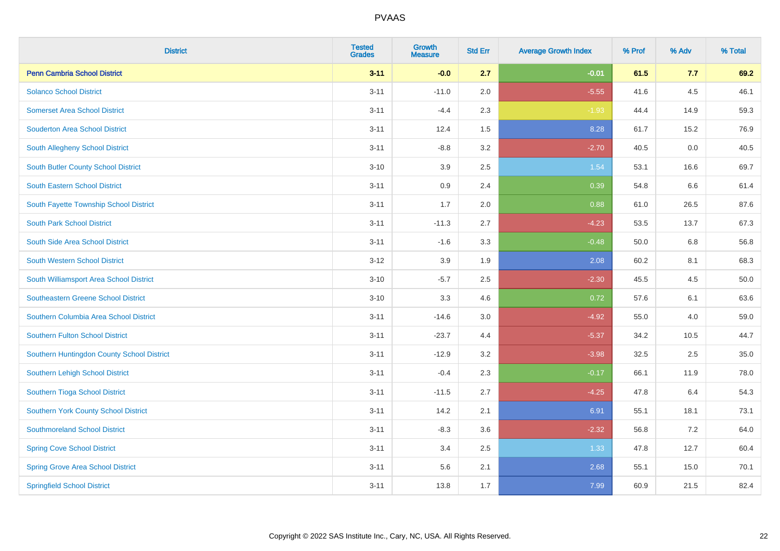| <b>District</b>                            | <b>Tested</b><br><b>Grades</b> | <b>Growth</b><br><b>Measure</b> | <b>Std Err</b> | <b>Average Growth Index</b> | % Prof | % Adv | % Total |
|--------------------------------------------|--------------------------------|---------------------------------|----------------|-----------------------------|--------|-------|---------|
| <b>Penn Cambria School District</b>        | $3 - 11$                       | $-0.0$                          | 2.7            | $-0.01$                     | 61.5   | 7.7   | 69.2    |
| <b>Solanco School District</b>             | $3 - 11$                       | $-11.0$                         | 2.0            | $-5.55$                     | 41.6   | 4.5   | 46.1    |
| <b>Somerset Area School District</b>       | $3 - 11$                       | $-4.4$                          | 2.3            | $-1.93$                     | 44.4   | 14.9  | 59.3    |
| <b>Souderton Area School District</b>      | $3 - 11$                       | 12.4                            | 1.5            | 8.28                        | 61.7   | 15.2  | 76.9    |
| South Allegheny School District            | $3 - 11$                       | $-8.8$                          | 3.2            | $-2.70$                     | 40.5   | 0.0   | 40.5    |
| South Butler County School District        | $3 - 10$                       | 3.9                             | 2.5            | 1.54                        | 53.1   | 16.6  | 69.7    |
| South Eastern School District              | $3 - 11$                       | 0.9                             | 2.4            | 0.39                        | 54.8   | 6.6   | 61.4    |
| South Fayette Township School District     | $3 - 11$                       | 1.7                             | 2.0            | 0.88                        | 61.0   | 26.5  | 87.6    |
| <b>South Park School District</b>          | $3 - 11$                       | $-11.3$                         | 2.7            | $-4.23$                     | 53.5   | 13.7  | 67.3    |
| South Side Area School District            | $3 - 11$                       | $-1.6$                          | 3.3            | $-0.48$                     | 50.0   | 6.8   | 56.8    |
| <b>South Western School District</b>       | $3 - 12$                       | 3.9                             | 1.9            | 2.08                        | 60.2   | 8.1   | 68.3    |
| South Williamsport Area School District    | $3 - 10$                       | $-5.7$                          | 2.5            | $-2.30$                     | 45.5   | 4.5   | 50.0    |
| <b>Southeastern Greene School District</b> | $3 - 10$                       | 3.3                             | 4.6            | 0.72                        | 57.6   | 6.1   | 63.6    |
| Southern Columbia Area School District     | $3 - 11$                       | $-14.6$                         | 3.0            | $-4.92$                     | 55.0   | 4.0   | 59.0    |
| <b>Southern Fulton School District</b>     | $3 - 11$                       | $-23.7$                         | 4.4            | $-5.37$                     | 34.2   | 10.5  | 44.7    |
| Southern Huntingdon County School District | $3 - 11$                       | $-12.9$                         | 3.2            | $-3.98$                     | 32.5   | 2.5   | 35.0    |
| Southern Lehigh School District            | $3 - 11$                       | $-0.4$                          | 2.3            | $-0.17$                     | 66.1   | 11.9  | 78.0    |
| Southern Tioga School District             | $3 - 11$                       | $-11.5$                         | 2.7            | $-4.25$                     | 47.8   | 6.4   | 54.3    |
| Southern York County School District       | $3 - 11$                       | 14.2                            | 2.1            | 6.91                        | 55.1   | 18.1  | 73.1    |
| <b>Southmoreland School District</b>       | $3 - 11$                       | $-8.3$                          | 3.6            | $-2.32$                     | 56.8   | 7.2   | 64.0    |
| <b>Spring Cove School District</b>         | $3 - 11$                       | 3.4                             | 2.5            | 1.33                        | 47.8   | 12.7  | 60.4    |
| <b>Spring Grove Area School District</b>   | $3 - 11$                       | 5.6                             | 2.1            | 2.68                        | 55.1   | 15.0  | 70.1    |
| <b>Springfield School District</b>         | $3 - 11$                       | 13.8                            | 1.7            | 7.99                        | 60.9   | 21.5  | 82.4    |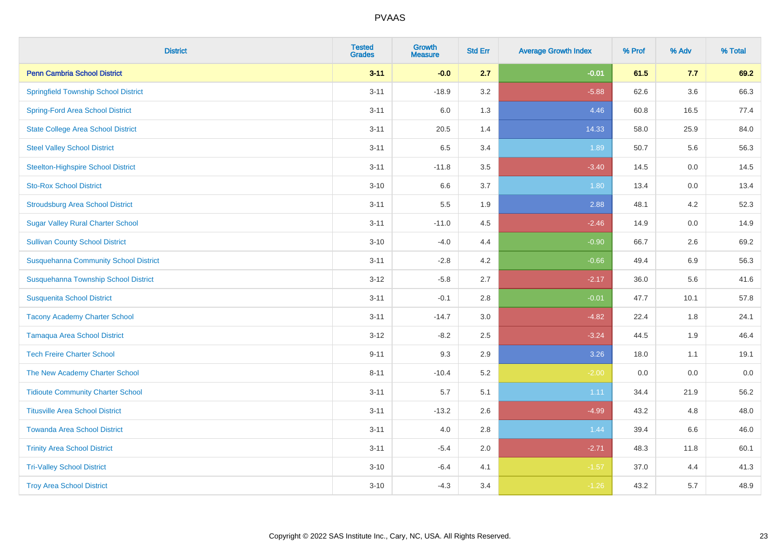| <b>District</b>                              | <b>Tested</b><br><b>Grades</b> | <b>Growth</b><br><b>Measure</b> | <b>Std Err</b> | <b>Average Growth Index</b> | % Prof | % Adv   | % Total |
|----------------------------------------------|--------------------------------|---------------------------------|----------------|-----------------------------|--------|---------|---------|
| <b>Penn Cambria School District</b>          | $3 - 11$                       | $-0.0$                          | 2.7            | $-0.01$                     | 61.5   | 7.7     | 69.2    |
| <b>Springfield Township School District</b>  | $3 - 11$                       | $-18.9$                         | 3.2            | $-5.88$                     | 62.6   | $3.6\,$ | 66.3    |
| <b>Spring-Ford Area School District</b>      | $3 - 11$                       | 6.0                             | 1.3            | 4.46                        | 60.8   | 16.5    | 77.4    |
| <b>State College Area School District</b>    | $3 - 11$                       | 20.5                            | 1.4            | 14.33                       | 58.0   | 25.9    | 84.0    |
| <b>Steel Valley School District</b>          | $3 - 11$                       | 6.5                             | 3.4            | 1.89                        | 50.7   | 5.6     | 56.3    |
| <b>Steelton-Highspire School District</b>    | $3 - 11$                       | $-11.8$                         | 3.5            | $-3.40$                     | 14.5   | 0.0     | 14.5    |
| <b>Sto-Rox School District</b>               | $3 - 10$                       | 6.6                             | 3.7            | 1.80                        | 13.4   | 0.0     | 13.4    |
| <b>Stroudsburg Area School District</b>      | $3 - 11$                       | 5.5                             | 1.9            | 2.88                        | 48.1   | 4.2     | 52.3    |
| <b>Sugar Valley Rural Charter School</b>     | $3 - 11$                       | $-11.0$                         | 4.5            | $-2.46$                     | 14.9   | 0.0     | 14.9    |
| <b>Sullivan County School District</b>       | $3 - 10$                       | $-4.0$                          | 4.4            | $-0.90$                     | 66.7   | $2.6\,$ | 69.2    |
| <b>Susquehanna Community School District</b> | $3 - 11$                       | $-2.8$                          | 4.2            | $-0.66$                     | 49.4   | 6.9     | 56.3    |
| Susquehanna Township School District         | $3 - 12$                       | $-5.8$                          | 2.7            | $-2.17$                     | 36.0   | 5.6     | 41.6    |
| <b>Susquenita School District</b>            | $3 - 11$                       | $-0.1$                          | 2.8            | $-0.01$                     | 47.7   | 10.1    | 57.8    |
| <b>Tacony Academy Charter School</b>         | $3 - 11$                       | $-14.7$                         | 3.0            | $-4.82$                     | 22.4   | 1.8     | 24.1    |
| <b>Tamaqua Area School District</b>          | $3 - 12$                       | $-8.2$                          | 2.5            | $-3.24$                     | 44.5   | 1.9     | 46.4    |
| <b>Tech Freire Charter School</b>            | $9 - 11$                       | 9.3                             | 2.9            | 3.26                        | 18.0   | 1.1     | 19.1    |
| The New Academy Charter School               | $8 - 11$                       | $-10.4$                         | 5.2            | $-2.00$                     | 0.0    | 0.0     | $0.0\,$ |
| <b>Tidioute Community Charter School</b>     | $3 - 11$                       | 5.7                             | 5.1            | 1.11                        | 34.4   | 21.9    | 56.2    |
| <b>Titusville Area School District</b>       | $3 - 11$                       | $-13.2$                         | 2.6            | $-4.99$                     | 43.2   | 4.8     | 48.0    |
| <b>Towanda Area School District</b>          | $3 - 11$                       | 4.0                             | 2.8            | 1.44                        | 39.4   | 6.6     | 46.0    |
| <b>Trinity Area School District</b>          | $3 - 11$                       | $-5.4$                          | 2.0            | $-2.71$                     | 48.3   | 11.8    | 60.1    |
| <b>Tri-Valley School District</b>            | $3 - 10$                       | $-6.4$                          | 4.1            | $-1.57$                     | 37.0   | 4.4     | 41.3    |
| <b>Troy Area School District</b>             | $3 - 10$                       | $-4.3$                          | 3.4            | $-1.26$                     | 43.2   | 5.7     | 48.9    |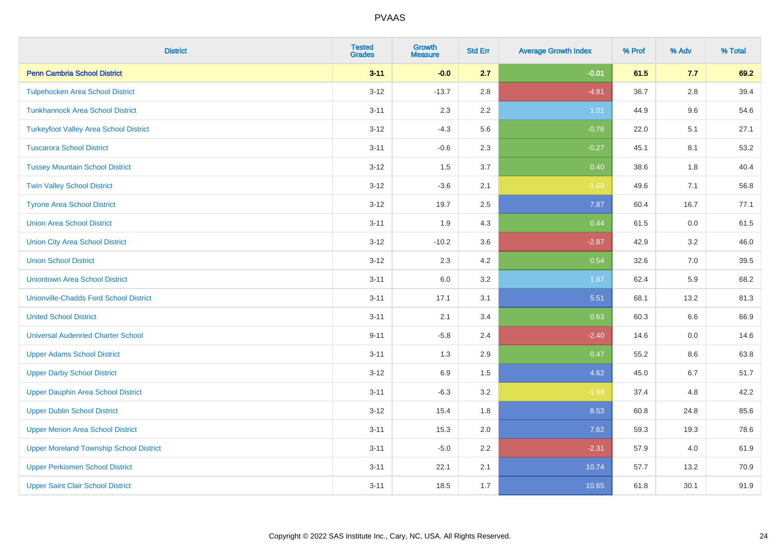| <b>District</b>                                | <b>Tested</b><br><b>Grades</b> | <b>Growth</b><br><b>Measure</b> | <b>Std Err</b> | <b>Average Growth Index</b> | % Prof | % Adv   | % Total |
|------------------------------------------------|--------------------------------|---------------------------------|----------------|-----------------------------|--------|---------|---------|
| <b>Penn Cambria School District</b>            | $3 - 11$                       | $-0.0$                          | 2.7            | $-0.01$                     | 61.5   | 7.7     | 69.2    |
| <b>Tulpehocken Area School District</b>        | $3 - 12$                       | $-13.7$                         | 2.8            | $-4.81$                     | 36.7   | $2.8\,$ | 39.4    |
| <b>Tunkhannock Area School District</b>        | $3 - 11$                       | 2.3                             | 2.2            | 1.01                        | 44.9   | 9.6     | 54.6    |
| <b>Turkeyfoot Valley Area School District</b>  | $3 - 12$                       | $-4.3$                          | 5.6            | $-0.76$                     | 22.0   | 5.1     | 27.1    |
| <b>Tuscarora School District</b>               | $3 - 11$                       | $-0.6$                          | 2.3            | $-0.27$                     | 45.1   | 8.1     | 53.2    |
| <b>Tussey Mountain School District</b>         | $3 - 12$                       | 1.5                             | 3.7            | 0.40                        | 38.6   | 1.8     | 40.4    |
| <b>Twin Valley School District</b>             | $3 - 12$                       | $-3.6$                          | 2.1            | $-1.69$                     | 49.6   | 7.1     | 56.8    |
| <b>Tyrone Area School District</b>             | $3 - 12$                       | 19.7                            | 2.5            | 7.87                        | 60.4   | 16.7    | 77.1    |
| <b>Union Area School District</b>              | $3 - 11$                       | 1.9                             | 4.3            | 0.44                        | 61.5   | 0.0     | 61.5    |
| <b>Union City Area School District</b>         | $3 - 12$                       | $-10.2$                         | 3.6            | $-2.87$                     | 42.9   | 3.2     | 46.0    |
| <b>Union School District</b>                   | $3 - 12$                       | 2.3                             | 4.2            | 0.54                        | 32.6   | 7.0     | 39.5    |
| <b>Uniontown Area School District</b>          | $3 - 11$                       | 6.0                             | 3.2            | 1.87                        | 62.4   | 5.9     | 68.2    |
| <b>Unionville-Chadds Ford School District</b>  | $3 - 11$                       | 17.1                            | 3.1            | 5.51                        | 68.1   | 13.2    | 81.3    |
| <b>United School District</b>                  | $3 - 11$                       | 2.1                             | 3.4            | 0.63                        | 60.3   | 6.6     | 66.9    |
| <b>Universal Audenried Charter School</b>      | $9 - 11$                       | $-5.8$                          | 2.4            | $-2.40$                     | 14.6   | 0.0     | 14.6    |
| <b>Upper Adams School District</b>             | $3 - 11$                       | 1.3                             | 2.9            | 0.47                        | 55.2   | $8.6\,$ | 63.8    |
| <b>Upper Darby School District</b>             | $3 - 12$                       | 6.9                             | 1.5            | 4.62                        | 45.0   | 6.7     | 51.7    |
| <b>Upper Dauphin Area School District</b>      | $3 - 11$                       | $-6.3$                          | 3.2            | $-1.98$                     | 37.4   | 4.8     | 42.2    |
| <b>Upper Dublin School District</b>            | $3 - 12$                       | 15.4                            | 1.8            | 8.53                        | 60.8   | 24.8    | 85.6    |
| <b>Upper Merion Area School District</b>       | $3 - 11$                       | 15.3                            | 2.0            | 7.62                        | 59.3   | 19.3    | 78.6    |
| <b>Upper Moreland Township School District</b> | $3 - 11$                       | $-5.0$                          | 2.2            | $-2.31$                     | 57.9   | 4.0     | 61.9    |
| <b>Upper Perkiomen School District</b>         | $3 - 11$                       | 22.1                            | 2.1            | 10.74                       | 57.7   | 13.2    | 70.9    |
| <b>Upper Saint Clair School District</b>       | $3 - 11$                       | 18.5                            | 1.7            | 10.65                       | 61.8   | 30.1    | 91.9    |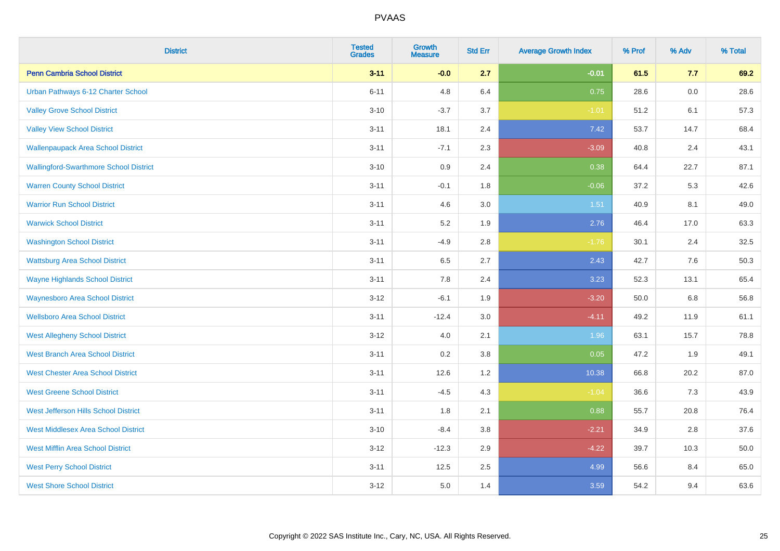| <b>District</b>                               | <b>Tested</b><br><b>Grades</b> | <b>Growth</b><br><b>Measure</b> | <b>Std Err</b> | <b>Average Growth Index</b> | % Prof | % Adv | % Total |
|-----------------------------------------------|--------------------------------|---------------------------------|----------------|-----------------------------|--------|-------|---------|
| <b>Penn Cambria School District</b>           | $3 - 11$                       | $-0.0$                          | 2.7            | $-0.01$                     | 61.5   | 7.7   | 69.2    |
| Urban Pathways 6-12 Charter School            | $6 - 11$                       | 4.8                             | 6.4            | 0.75                        | 28.6   | 0.0   | 28.6    |
| <b>Valley Grove School District</b>           | $3 - 10$                       | $-3.7$                          | 3.7            | $-1.01$                     | 51.2   | 6.1   | 57.3    |
| <b>Valley View School District</b>            | $3 - 11$                       | 18.1                            | 2.4            | 7.42                        | 53.7   | 14.7  | 68.4    |
| <b>Wallenpaupack Area School District</b>     | $3 - 11$                       | $-7.1$                          | 2.3            | $-3.09$                     | 40.8   | 2.4   | 43.1    |
| <b>Wallingford-Swarthmore School District</b> | $3 - 10$                       | 0.9                             | 2.4            | 0.38                        | 64.4   | 22.7  | 87.1    |
| <b>Warren County School District</b>          | $3 - 11$                       | $-0.1$                          | 1.8            | $-0.06$                     | 37.2   | 5.3   | 42.6    |
| <b>Warrior Run School District</b>            | $3 - 11$                       | 4.6                             | 3.0            | 1.51                        | 40.9   | 8.1   | 49.0    |
| <b>Warwick School District</b>                | $3 - 11$                       | 5.2                             | 1.9            | 2.76                        | 46.4   | 17.0  | 63.3    |
| <b>Washington School District</b>             | $3 - 11$                       | $-4.9$                          | 2.8            | $-1.76$                     | 30.1   | 2.4   | 32.5    |
| <b>Wattsburg Area School District</b>         | $3 - 11$                       | 6.5                             | 2.7            | 2.43                        | 42.7   | 7.6   | 50.3    |
| <b>Wayne Highlands School District</b>        | $3 - 11$                       | 7.8                             | 2.4            | 3.23                        | 52.3   | 13.1  | 65.4    |
| <b>Waynesboro Area School District</b>        | $3 - 12$                       | $-6.1$                          | 1.9            | $-3.20$                     | 50.0   | 6.8   | 56.8    |
| <b>Wellsboro Area School District</b>         | $3 - 11$                       | $-12.4$                         | 3.0            | $-4.11$                     | 49.2   | 11.9  | 61.1    |
| <b>West Allegheny School District</b>         | $3 - 12$                       | 4.0                             | 2.1            | 1.96                        | 63.1   | 15.7  | 78.8    |
| <b>West Branch Area School District</b>       | $3 - 11$                       | 0.2                             | 3.8            | 0.05                        | 47.2   | 1.9   | 49.1    |
| <b>West Chester Area School District</b>      | $3 - 11$                       | 12.6                            | 1.2            | 10.38                       | 66.8   | 20.2  | 87.0    |
| <b>West Greene School District</b>            | $3 - 11$                       | $-4.5$                          | 4.3            | $-1.04$                     | 36.6   | 7.3   | 43.9    |
| West Jefferson Hills School District          | $3 - 11$                       | 1.8                             | 2.1            | 0.88                        | 55.7   | 20.8  | 76.4    |
| <b>West Middlesex Area School District</b>    | $3 - 10$                       | $-8.4$                          | 3.8            | $-2.21$                     | 34.9   | 2.8   | 37.6    |
| <b>West Mifflin Area School District</b>      | $3 - 12$                       | $-12.3$                         | 2.9            | $-4.22$                     | 39.7   | 10.3  | 50.0    |
| <b>West Perry School District</b>             | $3 - 11$                       | 12.5                            | 2.5            | 4.99                        | 56.6   | 8.4   | 65.0    |
| <b>West Shore School District</b>             | $3-12$                         | 5.0                             | 1.4            | 3.59                        | 54.2   | 9.4   | 63.6    |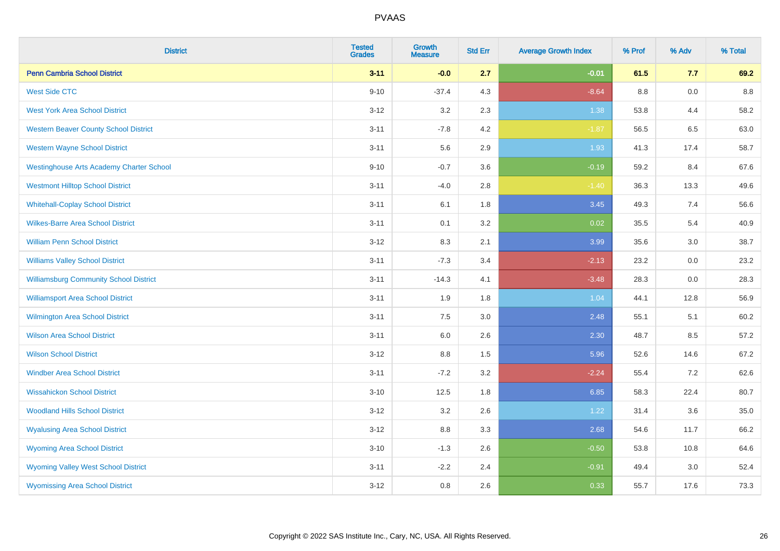| <b>District</b>                                 | <b>Tested</b><br><b>Grades</b> | <b>Growth</b><br><b>Measure</b> | <b>Std Err</b> | <b>Average Growth Index</b> | % Prof | % Adv | % Total |
|-------------------------------------------------|--------------------------------|---------------------------------|----------------|-----------------------------|--------|-------|---------|
| <b>Penn Cambria School District</b>             | $3 - 11$                       | $-0.0$                          | 2.7            | $-0.01$                     | 61.5   | 7.7   | 69.2    |
| <b>West Side CTC</b>                            | $9 - 10$                       | $-37.4$                         | 4.3            | $-8.64$                     | 8.8    | 0.0   | 8.8     |
| <b>West York Area School District</b>           | $3 - 12$                       | 3.2                             | 2.3            | 1.38                        | 53.8   | 4.4   | 58.2    |
| <b>Western Beaver County School District</b>    | $3 - 11$                       | $-7.8$                          | 4.2            | $-1.87$                     | 56.5   | 6.5   | 63.0    |
| <b>Western Wayne School District</b>            | $3 - 11$                       | 5.6                             | 2.9            | 1.93                        | 41.3   | 17.4  | 58.7    |
| <b>Westinghouse Arts Academy Charter School</b> | $9 - 10$                       | $-0.7$                          | 3.6            | $-0.19$                     | 59.2   | 8.4   | 67.6    |
| <b>Westmont Hilltop School District</b>         | $3 - 11$                       | $-4.0$                          | 2.8            | $-1.40$                     | 36.3   | 13.3  | 49.6    |
| <b>Whitehall-Coplay School District</b>         | $3 - 11$                       | 6.1                             | 1.8            | 3.45                        | 49.3   | 7.4   | 56.6    |
| <b>Wilkes-Barre Area School District</b>        | $3 - 11$                       | 0.1                             | 3.2            | 0.02                        | 35.5   | 5.4   | 40.9    |
| <b>William Penn School District</b>             | $3 - 12$                       | 8.3                             | 2.1            | 3.99                        | 35.6   | 3.0   | 38.7    |
| <b>Williams Valley School District</b>          | $3 - 11$                       | $-7.3$                          | 3.4            | $-2.13$                     | 23.2   | 0.0   | 23.2    |
| <b>Williamsburg Community School District</b>   | $3 - 11$                       | $-14.3$                         | 4.1            | $-3.48$                     | 28.3   | 0.0   | 28.3    |
| <b>Williamsport Area School District</b>        | $3 - 11$                       | 1.9                             | 1.8            | 1.04                        | 44.1   | 12.8  | 56.9    |
| <b>Wilmington Area School District</b>          | $3 - 11$                       | 7.5                             | 3.0            | 2.48                        | 55.1   | 5.1   | 60.2    |
| <b>Wilson Area School District</b>              | $3 - 11$                       | 6.0                             | 2.6            | 2.30                        | 48.7   | 8.5   | 57.2    |
| <b>Wilson School District</b>                   | $3 - 12$                       | $8.8\,$                         | 1.5            | 5.96                        | 52.6   | 14.6  | 67.2    |
| <b>Windber Area School District</b>             | $3 - 11$                       | $-7.2$                          | 3.2            | $-2.24$                     | 55.4   | 7.2   | 62.6    |
| <b>Wissahickon School District</b>              | $3 - 10$                       | 12.5                            | 1.8            | 6.85                        | 58.3   | 22.4  | 80.7    |
| <b>Woodland Hills School District</b>           | $3 - 12$                       | 3.2                             | 2.6            | 1.22                        | 31.4   | 3.6   | 35.0    |
| <b>Wyalusing Area School District</b>           | $3-12$                         | 8.8                             | 3.3            | 2.68                        | 54.6   | 11.7  | 66.2    |
| <b>Wyoming Area School District</b>             | $3 - 10$                       | $-1.3$                          | 2.6            | $-0.50$                     | 53.8   | 10.8  | 64.6    |
| <b>Wyoming Valley West School District</b>      | $3 - 11$                       | $-2.2$                          | 2.4            | $-0.91$                     | 49.4   | 3.0   | 52.4    |
| <b>Wyomissing Area School District</b>          | $3 - 12$                       | 0.8                             | 2.6            | 0.33                        | 55.7   | 17.6  | 73.3    |